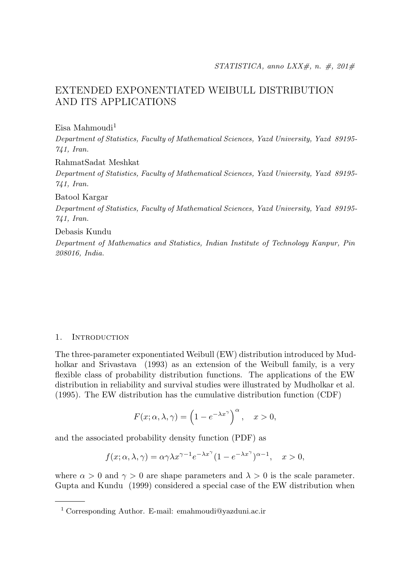# EXTENDED EXPONENTIATED WEIBULL DISTRIBUTION AND ITS APPLICATIONS

 $E$ isa Mahmoudi $<sup>1</sup>$ </sup>

Department of Statistics, Faculty of Mathematical Sciences, Yazd University, Yazd 89195- 741, Iran.

RahmatSadat Meshkat

Department of Statistics, Faculty of Mathematical Sciences, Yazd University, Yazd 89195- 741, Iran.

Batool Kargar

Department of Statistics, Faculty of Mathematical Sciences, Yazd University, Yazd 89195- 741, Iran.

Debasis Kundu

Department of Mathematics and Statistics, Indian Institute of Technology Kanpur, Pin 208016, India.

### 1. INTRODUCTION

The three-parameter exponentiated Weibull (EW) distribution introduced by Mudholkar and Srivastava (1993) as an extension of the Weibull family, is a very flexible class of probability distribution functions. The applications of the EW distribution in reliability and survival studies were illustrated by Mudholkar et al. (1995). The EW distribution has the cumulative distribution function (CDF)

$$
F(x; \alpha, \lambda, \gamma) = \left(1 - e^{-\lambda x^{\gamma}}\right)^{\alpha}, \quad x > 0,
$$

and the associated probability density function (PDF) as

$$
f(x; \alpha, \lambda, \gamma) = \alpha \gamma \lambda x^{\gamma - 1} e^{-\lambda x^{\gamma}} (1 - e^{-\lambda x^{\gamma}})^{\alpha - 1}, \quad x > 0,
$$

where  $\alpha > 0$  and  $\gamma > 0$  are shape parameters and  $\lambda > 0$  is the scale parameter. Gupta and Kundu (1999) considered a special case of the EW distribution when

<sup>1</sup> Corresponding Author. E-mail: emahmoudi@yazduni.ac.ir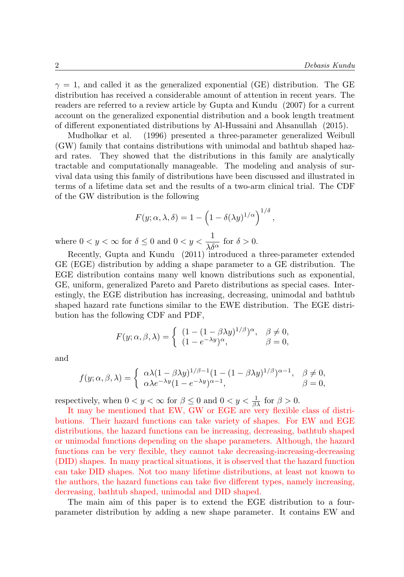$\gamma = 1$ , and called it as the generalized exponential (GE) distribution. The GE distribution has received a considerable amount of attention in recent years. The readers are referred to a review article by Gupta and Kundu (2007) for a current account on the generalized exponential distribution and a book length treatment of different exponentiated distributions by Al-Hussaini and Ahsanullah (2015).

Mudholkar et al. (1996) presented a three-parameter generalized Weibull (GW) family that contains distributions with unimodal and bathtub shaped hazard rates. They showed that the distributions in this family are analytically tractable and computationally manageable. The modeling and analysis of survival data using this family of distributions have been discussed and illustrated in terms of a lifetime data set and the results of a two-arm clinical trial. The CDF of the GW distribution is the following

$$
F(y; \alpha, \lambda, \delta) = 1 - \left(1 - \delta(\lambda y)^{1/\alpha}\right)^{1/\delta},
$$

where  $0 < y < \infty$  for  $\delta \leq 0$  and  $0 < y < \frac{1}{\sqrt{2}}$  $\frac{1}{\lambda \delta^{\alpha}}$  for  $\delta > 0$ .

Recently, Gupta and Kundu (2011) introduced a three-parameter extended GE (EGE) distribution by adding a shape parameter to a GE distribution. The EGE distribution contains many well known distributions such as exponential, GE, uniform, generalized Pareto and Pareto distributions as special cases. Interestingly, the EGE distribution has increasing, decreasing, unimodal and bathtub shaped hazard rate functions similar to the EWE distribution. The EGE distribution has the following CDF and PDF,

$$
F(y; \alpha, \beta, \lambda) = \begin{cases} (1 - (1 - \beta \lambda y)^{1/\beta})^{\alpha}, & \beta \neq 0, \\ (1 - e^{-\lambda y})^{\alpha}, & \beta = 0, \end{cases}
$$

and

$$
f(y; \alpha, \beta, \lambda) = \begin{cases} \alpha \lambda (1 - \beta \lambda y)^{1/\beta - 1} (1 - (1 - \beta \lambda y)^{1/\beta})^{\alpha - 1}, & \beta \neq 0, \\ \alpha \lambda e^{-\lambda y} (1 - e^{-\lambda y})^{\alpha - 1}, & \beta = 0, \end{cases}
$$

respectively, when  $0 < y < \infty$  for  $\beta \leq 0$  and  $0 < y < \frac{1}{\beta \lambda}$  for  $\beta > 0$ .

It may be mentioned that EW, GW or EGE are very flexible class of distributions. Their hazard functions can take variety of shapes. For EW and EGE distributions, the hazard functions can be increasing, decreasing, bathtub shaped or unimodal functions depending on the shape parameters. Although, the hazard functions can be very flexible, they cannot take decreasing-increasing-decreasing (DID) shapes. In many practical situations, it is observed that the hazard function can take DID shapes. Not too many lifetime distributions, at least not known to the authors, the hazard functions can take five different types, namely increasing, decreasing, bathtub shaped, unimodal and DID shaped.

The main aim of this paper is to extend the EGE distribution to a fourparameter distribution by adding a new shape parameter. It contains EW and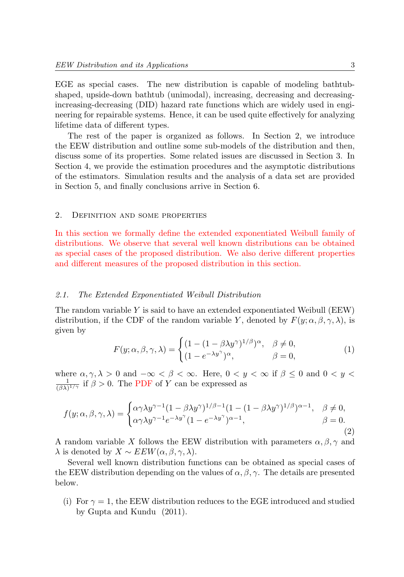EGE as special cases. The new distribution is capable of modeling bathtubshaped, upside-down bathtub (unimodal), increasing, decreasing and decreasingincreasing-decreasing (DID) hazard rate functions which are widely used in engineering for repairable systems. Hence, it can be used quite effectively for analyzing lifetime data of different types.

The rest of the paper is organized as follows. In Section 2, we introduce the EEW distribution and outline some sub-models of the distribution and then, discuss some of its properties. Some related issues are discussed in Section 3. In Section 4, we provide the estimation procedures and the asymptotic distributions of the estimators. Simulation results and the analysis of a data set are provided in Section 5, and finally conclusions arrive in Section 6.

#### 2. Definition and some properties

In this section we formally define the extended exponentiated Weibull family of distributions. We observe that several well known distributions can be obtained as special cases of the proposed distribution. We also derive different properties and different measures of the proposed distribution in this section.

#### 2.1. The Extended Exponentiated Weibull Distribution

The random variable  $Y$  is said to have an extended exponentiated Weibull (EEW) distribution, if the CDF of the random variable Y, denoted by  $F(y; \alpha, \beta, \gamma, \lambda)$ , is given by

$$
F(y; \alpha, \beta, \gamma, \lambda) = \begin{cases} (1 - (1 - \beta \lambda y^{\gamma})^{1/\beta})^{\alpha}, & \beta \neq 0, \\ (1 - e^{-\lambda y^{\gamma}})^{\alpha}, & \beta = 0, \end{cases}
$$
(1)

where  $\alpha, \gamma, \lambda > 0$  and  $-\infty < \beta < \infty$ . Here,  $0 < y < \infty$  if  $\beta \leq 0$  and  $0 < y < \infty$  $\frac{1}{(\beta\lambda)^{1/\gamma}}$  if  $\beta > 0$ . The PDF of Y can be expressed as

$$
f(y; \alpha, \beta, \gamma, \lambda) = \begin{cases} \alpha \gamma \lambda y^{\gamma - 1} (1 - \beta \lambda y^{\gamma})^{1/\beta - 1} (1 - (1 - \beta \lambda y^{\gamma})^{1/\beta})^{\alpha - 1}, & \beta \neq 0, \\ \alpha \gamma \lambda y^{\gamma - 1} e^{-\lambda y^{\gamma}} (1 - e^{-\lambda y^{\gamma}})^{\alpha - 1}, & \beta = 0. \end{cases}
$$
(2)

A random variable X follows the EEW distribution with parameters  $\alpha, \beta, \gamma$  and  $\lambda$  is denoted by  $X \sim EEW(\alpha, \beta, \gamma, \lambda)$ .

Several well known distribution functions can be obtained as special cases of the EEW distribution depending on the values of  $\alpha$ ,  $\beta$ ,  $\gamma$ . The details are presented below.

(i) For  $\gamma = 1$ , the EEW distribution reduces to the EGE introduced and studied by Gupta and Kundu (2011).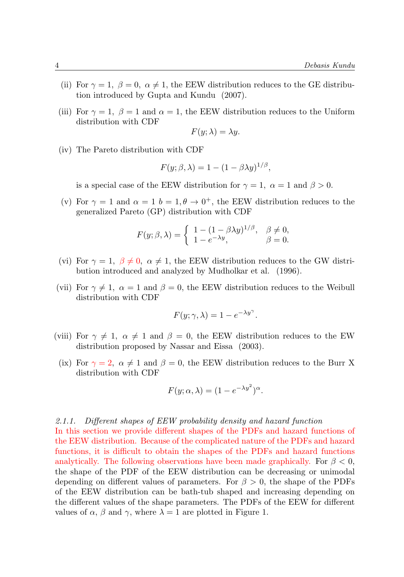- (ii) For  $\gamma = 1$ ,  $\beta = 0$ ,  $\alpha \neq 1$ , the EEW distribution reduces to the GE distribution introduced by Gupta and Kundu (2007).
- (iii) For  $\gamma = 1$ ,  $\beta = 1$  and  $\alpha = 1$ , the EEW distribution reduces to the Uniform distribution with CDF

$$
F(y; \lambda) = \lambda y.
$$

(iv) The Pareto distribution with CDF

$$
F(y; \beta, \lambda) = 1 - (1 - \beta \lambda y)^{1/\beta},
$$

is a special case of the EEW distribution for  $\gamma = 1$ ,  $\alpha = 1$  and  $\beta > 0$ .

(v) For  $\gamma = 1$  and  $\alpha = 1$   $b = 1, \theta \rightarrow 0^+$ , the EEW distribution reduces to the generalized Pareto (GP) distribution with CDF

$$
F(y; \beta, \lambda) = \begin{cases} 1 - (1 - \beta \lambda y)^{1/\beta}, & \beta \neq 0, \\ 1 - e^{-\lambda y}, & \beta = 0. \end{cases}
$$

- (vi) For  $\gamma = 1$ ,  $\beta \neq 0$ ,  $\alpha \neq 1$ , the EEW distribution reduces to the GW distribution introduced and analyzed by Mudholkar et al. (1996).
- (vii) For  $\gamma \neq 1$ ,  $\alpha = 1$  and  $\beta = 0$ , the EEW distribution reduces to the Weibull distribution with CDF

$$
F(y; \gamma, \lambda) = 1 - e^{-\lambda y^{\gamma}}.
$$

- (viii) For  $\gamma \neq 1$ ,  $\alpha \neq 1$  and  $\beta = 0$ , the EEW distribution reduces to the EW distribution proposed by Nassar and Eissa (2003).
	- (ix) For  $\gamma = 2$ ,  $\alpha \neq 1$  and  $\beta = 0$ , the EEW distribution reduces to the Burr X distribution with CDF

$$
F(y; \alpha, \lambda) = (1 - e^{-\lambda y^2})^{\alpha}.
$$

#### 2.1.1. Different shapes of EEW probability density and hazard function

In this section we provide different shapes of the PDFs and hazard functions of the EEW distribution. Because of the complicated nature of the PDFs and hazard functions, it is difficult to obtain the shapes of the PDFs and hazard functions analytically. The following observations have been made graphically. For  $\beta < 0$ , the shape of the PDF of the EEW distribution can be decreasing or unimodal depending on different values of parameters. For  $\beta > 0$ , the shape of the PDFs of the EEW distribution can be bath-tub shaped and increasing depending on the different values of the shape parameters. The PDFs of the EEW for different values of  $\alpha$ ,  $\beta$  and  $\gamma$ , where  $\lambda = 1$  are plotted in Figure 1.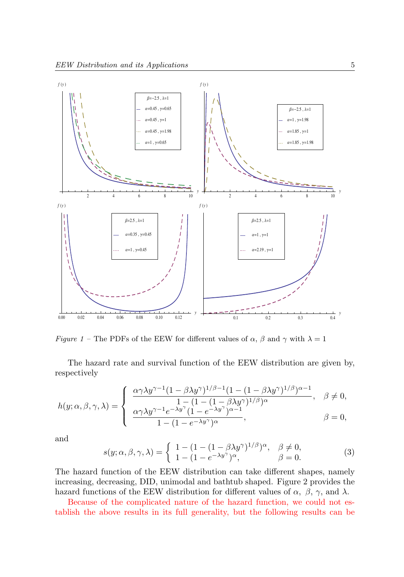

*Figure 1* – The PDFs of the EEW for different values of  $\alpha$ ,  $\beta$  and  $\gamma$  with  $\lambda = 1$ 

The hazard rate and survival function of the EEW distribution are given by, respectively

$$
h(y; \alpha, \beta, \gamma, \lambda) = \begin{cases} \frac{\alpha \gamma \lambda y^{\gamma - 1} (1 - \beta \lambda y^{\gamma})^{1/\beta - 1} (1 - (1 - \beta \lambda y^{\gamma})^{1/\beta})^{\alpha - 1}}{1 - (1 - (1 - \beta \lambda y^{\gamma})^{1/\beta})^{\alpha}}, & \beta \neq 0, \\ \frac{\alpha \gamma \lambda y^{\gamma - 1} e^{-\lambda y^{\gamma}} (1 - e^{-\lambda y^{\gamma}})^{\alpha - 1}}{1 - (1 - e^{-\lambda y^{\gamma}})^{\alpha}}, & \beta = 0, \end{cases}
$$

and

$$
s(y; \alpha, \beta, \gamma, \lambda) = \begin{cases} 1 - (1 - (1 - \beta \lambda y^{\gamma})^{1/\beta})^{\alpha}, & \beta \neq 0, \\ 1 - (1 - e^{-\lambda y^{\gamma}})^{\alpha}, & \beta = 0. \end{cases}
$$
 (3)

The hazard function of the EEW distribution can take different shapes, namely increasing, decreasing, DID, unimodal and bathtub shaped. Figure 2 provides the hazard functions of the EEW distribution for different values of  $\alpha$ ,  $\beta$ ,  $\gamma$ , and  $\lambda$ .

Because of the complicated nature of the hazard function, we could not establish the above results in its full generality, but the following results can be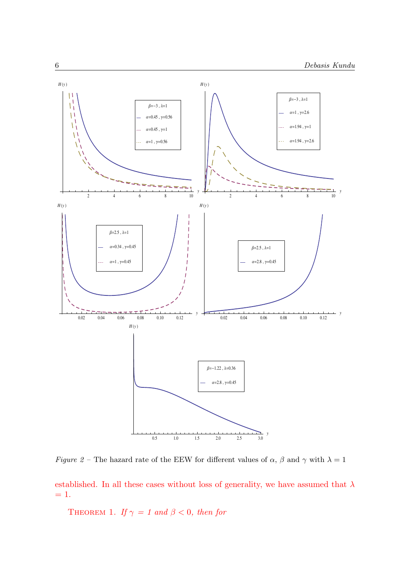

Figure 2 – The hazard rate of the EEW for different values of  $\alpha$ ,  $\beta$  and  $\gamma$  with  $\lambda = 1$ 

established. In all these cases without loss of generality, we have assumed that  $\lambda$  $= 1.$ 

THEOREM 1. If  $\gamma = 1$  and  $\beta < 0$ , then for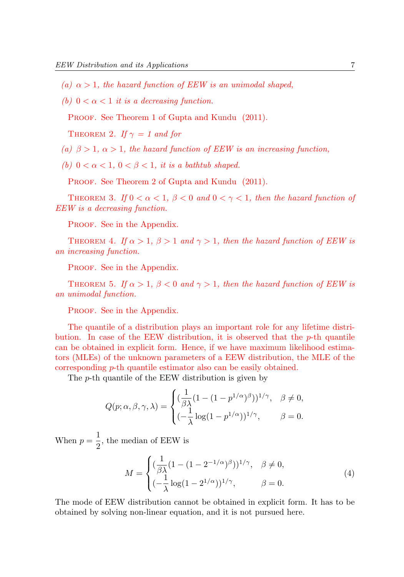- (a)  $\alpha > 1$ , the hazard function of EEW is an unimodal shaped,
- (b)  $0 < \alpha < 1$  it is a decreasing function.

PROOF. See Theorem 1 of Gupta and Kundu (2011).

THEOREM 2. If  $\gamma = 1$  and for

- (a)  $\beta > 1$ ,  $\alpha > 1$ , the hazard function of EEW is an increasing function,
- (b)  $0 < \alpha < 1$ ,  $0 < \beta < 1$ , it is a bathtub shaped.

PROOF. See Theorem 2 of Gupta and Kundu (2011).

THEOREM 3. If  $0 < \alpha < 1$ ,  $\beta < 0$  and  $0 < \gamma < 1$ , then the hazard function of EEW is a decreasing function.

PROOF. See in the Appendix.

THEOREM 4. If  $\alpha > 1$ ,  $\beta > 1$  and  $\gamma > 1$ , then the hazard function of EEW is an increasing function.

PROOF. See in the Appendix.

THEOREM 5. If  $\alpha > 1$ ,  $\beta < 0$  and  $\gamma > 1$ , then the hazard function of EEW is an unimodal function.

PROOF. See in the Appendix.

The quantile of a distribution plays an important role for any lifetime distribution. In case of the EEW distribution, it is observed that the  $p$ -th quantile can be obtained in explicit form. Hence, if we have maximum likelihood estimators (MLEs) of the unknown parameters of a EEW distribution, the MLE of the corresponding p-th quantile estimator also can be easily obtained.

The p-th quantile of the EEW distribution is given by

$$
Q(p; \alpha, \beta, \gamma, \lambda) = \begin{cases} (\frac{1}{\beta \lambda} (1 - (1 - p^{1/\alpha})^{\beta}))^{1/\gamma}, & \beta \neq 0, \\ (-\frac{1}{\lambda} \log(1 - p^{1/\alpha}))^{1/\gamma}, & \beta = 0. \end{cases}
$$

When  $p = \frac{1}{2}$  $\frac{1}{2}$ , the median of EEW is

$$
M = \begin{cases} (\frac{1}{\beta \lambda} (1 - (1 - 2^{-1/\alpha})^{\beta}))^{1/\gamma}, & \beta \neq 0, \\ (-\frac{1}{\lambda} \log(1 - 2^{1/\alpha}))^{1/\gamma}, & \beta = 0. \end{cases}
$$
(4)

The mode of EEW distribution cannot be obtained in explicit form. It has to be obtained by solving non-linear equation, and it is not pursued here.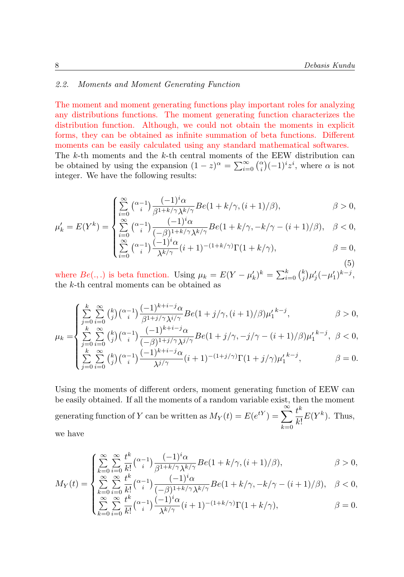# 2.2. Moments and Moment Generating Function

The moment and moment generating functions play important roles for analyzing any distributions functions. The moment generating function characterizes the distribution function. Although, we could not obtain the moments in explicit forms, they can be obtained as infinite summation of beta functions. Different moments can be easily calculated using any standard mathematical softwares. The  $k$ -th moments and the  $k$ -th central moments of the EEW distribution can be obtained by using the expansion  $(1-z)^{\alpha} = \sum_{i=0}^{\infty} {\alpha \choose i} (-1)^{i} z^{i}$ , where  $\alpha$  is not integer. We have the following results:

$$
\begin{cases} \sum_{i=0}^{\infty} {\alpha_i - 1 \choose i} \frac{(-1)^i \alpha}{\beta^{1 + k/\gamma} \lambda^{k/\gamma}} Be(1 + k/\gamma, (i+1)/\beta), & \beta > 0, \\ \sum_{i=0}^{\infty} {\alpha_i - 1 \choose i} \frac{(-1)^i \alpha}{\beta^{k/\gamma}} Be(1 + k/\gamma, -k/\gamma - (i+1)/\beta), & \beta < 0. \end{cases}
$$

$$
\mu'_k = E(Y^k) = \begin{cases} \sum_{i=0}^{\infty} {\alpha_i - 1 \choose i} \frac{(-1)^i \alpha}{(-\beta)^{1 + k/\gamma} \lambda^{k/\gamma}} Be(1 + k/\gamma, -k/\gamma - (i+1)/\beta), & \beta < 0, \\ \sum_{i=0}^{\infty} {\alpha_i - 1 \choose 0} \frac{(-1)^i \alpha}{(-\beta)^{k/\gamma}} Be(1 + k/\gamma, -k/\gamma - (i+1)/\beta), & \beta < 0, \end{cases}
$$

$$
\begin{cases}\n\sum_{i=0}^{i=0} \binom{\alpha-1}{i} \frac{(-1)^i \alpha}{\lambda^{k/\gamma}} (i+1)^{-(1+k/\gamma)} \Gamma(1+k/\gamma), & \beta = 0, \\
\sum_{i=0}^{i=0} \binom{\alpha-1}{i} \frac{(-1)^i \alpha}{\lambda^{k/\gamma}} (i+1)^{-(1+k/\gamma)} \Gamma(1+k/\gamma), & \beta = 0,\n\end{cases} \tag{5}
$$

where  $Be(.,.)$  is beta function. Using  $\mu_k = E(Y - \mu'_k)^k = \sum_{i=0}^k {k \choose j} \mu'_j(-\mu'_1)^{k-j}$ , the k-th central moments can be obtained as

$$
\int_{j=0}^{k} \sum_{i=0}^{\infty} {k \choose j} {\alpha-1 \choose i} \frac{(-1)^{k+i-j} \alpha}{\beta^{1+j/\gamma} \lambda^{i/\gamma}} Be(1+j/\gamma, (i+1)/\beta) \mu'_1^{k-j}, \qquad \beta > 0,
$$
  

$$
E_{\lambda} = \int_{k}^{k} \sum_{i=0}^{\infty} {k \choose i} {\alpha-1 \choose i} \frac{(-1)^{k+i-j} \alpha}{\beta^{k+i-j} \alpha} Be(1+i/\gamma, -i/\gamma, -i/(\gamma-1)/\beta) \mu'_1^{k-j} \beta < 0.
$$

$$
\mu_{k} = \begin{cases}\n\sum_{j=0}^{k} \sum_{i=0}^{\infty} \binom{k}{j} \binom{\alpha-1}{i} \frac{(-1)^{k+i-j} \alpha}{(-\beta)^{1+j/\gamma} \lambda^{j/\gamma}} B e(1+j/\gamma, -j/\gamma - (i+1)/\beta) {\mu'_{1}}^{k-j}, & \beta < 0, \\
\sum_{j=0}^{k} \sum_{i=0}^{\infty} \binom{k}{j} \binom{\alpha-1}{i} \frac{(-1)^{k+i-j} \alpha}{\lambda^{j/\gamma}} (i+1)^{-(1+j/\gamma)} \Gamma(1+j/\gamma) {\mu'_{1}}^{k-j}, & \beta = 0.\n\end{cases}
$$

Using the moments of different orders, moment generating function of EEW can be easily obtained. If all the moments of a random variable exist, then the moment generating function of Y can be written as  $M_Y(t) = E(e^{tY}) = \sum_{n=0}^{\infty}$  $k=0$  $t^k$  $\frac{\iota}{k!}E(Y^k)$ . Thus, we have

$$
\begin{cases}\n\sum_{k=0}^{\infty} \sum_{i=0}^{\infty} \frac{t^k}{k!} \binom{\alpha-1}{i} \frac{(-1)^i \alpha}{\beta^{1+k/\gamma} \lambda^{k/\gamma}} Be(1+k/\gamma, (i+1)/\beta), & \beta > 0, \\
\sum_{k=0}^{\infty} \sum_{i=0}^{\infty} \frac{t^k}{k!} \binom{\alpha-1}{i} \frac{(-1)^i \alpha}{k!} Be(1+k/\gamma, -k/\gamma, (i+1)/\beta), & \beta > 0.\n\end{cases}
$$

$$
M_Y(t) = \begin{cases} \sum_{k=0}^{\infty} \sum_{i=0}^{\infty} \frac{t^k}{k!} {\alpha - 1 \choose i} \frac{(-1)^i \alpha}{(-\beta)^{1+k/\gamma} \lambda^{k/\gamma}} Be(1 + k/\gamma, -k/\gamma - (i+1)/\beta), & \beta < 0, \\ t^k, \frac{t^k}{k!} \frac{(-1)^{k+\gamma} \alpha^{k+\gamma}}{k!} Be(1 + k/\gamma, -k/\gamma - (i+1)/\beta), & \beta < 0, \end{cases}
$$

$$
\sum_{k=0}^{\infty} \sum_{i=0}^{\infty} \frac{t^k}{k!} {\alpha-i \choose i} \frac{(-1)^i \alpha}{\lambda^{k/\gamma}} (i+1)^{-(1+k/\gamma)} \Gamma(1+k/\gamma), \qquad \beta = 0.
$$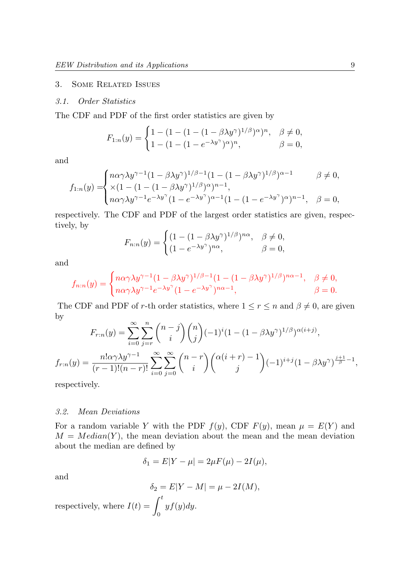#### 3. Some Related Issues

#### 3.1. Order Statistics

The CDF and PDF of the first order statistics are given by

$$
F_{1:n}(y) = \begin{cases} 1 - (1 - (1 - (\beta \lambda y^{\gamma}))^{1/\beta})^{\alpha})^{n}, & \beta \neq 0, \\ 1 - (1 - (1 - e^{-\lambda y^{\gamma}})^{\alpha})^{n}, & \beta = 0, \end{cases}
$$

and

$$
f_{1:n}(y) = \begin{cases} n\alpha\gamma\lambda y^{\gamma-1}(1-\beta\lambda y^{\gamma})^{1/\beta-1}(1-(1-\beta\lambda y^{\gamma})^{1/\beta})^{\alpha-1} & \beta \neq 0, \\ \times(1-(1-(1-\beta\lambda y^{\gamma})^{1/\beta})^{\alpha})^{n-1}, \\ n\alpha\gamma\lambda y^{\gamma-1}e^{-\lambda y^{\gamma}}(1-e^{-\lambda y^{\gamma}})^{\alpha-1}(1-(1-e^{-\lambda y^{\gamma}})^{\alpha})^{n-1}, & \beta = 0, \end{cases}
$$

respectively. The CDF and PDF of the largest order statistics are given, respectively, by

$$
F_{n:n}(y) = \begin{cases} (1 - (1 - \beta \lambda y^{\gamma})^{1/\beta})^{n\alpha}, & \beta \neq 0, \\ (1 - e^{-\lambda y^{\gamma}})^{n\alpha}, & \beta = 0, \end{cases}
$$

and

$$
f_{n:n}(y) = \begin{cases} n\alpha\gamma\lambda y^{\gamma-1}(1-\beta\lambda y^{\gamma})^{1/\beta-1}(1-(1-\beta\lambda y^{\gamma})^{1/\beta})^{n\alpha-1}, & \beta \neq 0, \\ n\alpha\gamma\lambda y^{\gamma-1}e^{-\lambda y^{\gamma}}(1-e^{-\lambda y^{\gamma}})^{n\alpha-1}, & \beta = 0. \end{cases}
$$

The CDF and PDF of r-th order statistics, where  $1 \le r \le n$  and  $\beta \neq 0$ , are given by

$$
F_{r:n}(y) = \sum_{i=0}^{\infty} \sum_{j=r}^{n} {n-j \choose i} {n \choose j} (-1)^{i} (1 - (1 - \beta \lambda y^{\gamma})^{1/\beta})^{\alpha(i+j)},
$$
  

$$
f_{r:n}(y) = \frac{n! \alpha \gamma \lambda y^{\gamma-1}}{(r-1)!(n-r)!} \sum_{i=0}^{\infty} \sum_{j=0}^{\infty} {n-r \choose i} {(\alpha(i+r) - 1) \choose j} (-1)^{i+j} (1 - \beta \lambda y^{\gamma})^{\frac{i+1}{\beta}-1},
$$

respectively.

#### 3.2. Mean Deviations

For a random variable Y with the PDF  $f(y)$ , CDF  $F(y)$ , mean  $\mu = E(Y)$  and  $M = Median(Y)$ , the mean deviation about the mean and the mean deviation about the median are defined by

$$
\delta_1 = E|Y - \mu| = 2\mu F(\mu) - 2I(\mu),
$$

and

$$
\delta_2 = E|Y - M| = \mu - 2I(M),
$$

respectively, where  $I(t) = \int_0^t$ 0  $yf(y)dy$ .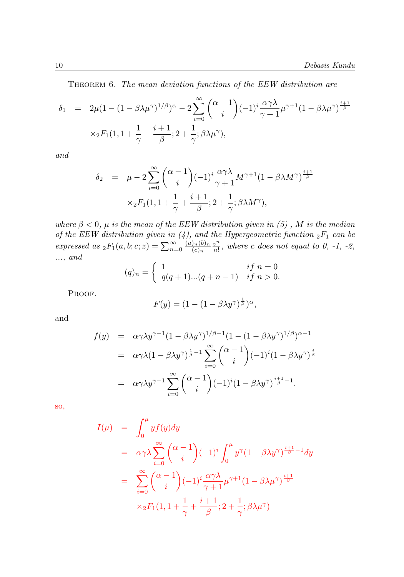THEOREM 6. The mean deviation functions of the EEW distribution are

$$
\delta_1 = 2\mu (1 - (1 - \beta \lambda \mu^{\gamma})^{1/\beta})^{\alpha} - 2 \sum_{i=0}^{\infty} {\alpha - 1 \choose i} (-1)^i \frac{\alpha \gamma \lambda}{\gamma + 1} \mu^{\gamma + 1} (1 - \beta \lambda \mu^{\gamma})^{\frac{i+1}{\beta}}
$$

$$
\times {}_2F_1(1, 1 + \frac{1}{\gamma} + \frac{i+1}{\beta}; 2 + \frac{1}{\gamma}; \beta \lambda \mu^{\gamma}),
$$

and

$$
\delta_2 = \mu - 2 \sum_{i=0}^{\infty} {\alpha - 1 \choose i} (-1)^i \frac{\alpha \gamma \lambda}{\gamma + 1} M^{\gamma + 1} (1 - \beta \lambda M^{\gamma})^{\frac{i+1}{\beta}}
$$

$$
\times_2 F_1(1, 1 + \frac{1}{\gamma} + \frac{i+1}{\beta}; 2 + \frac{1}{\gamma}; \beta \lambda M^{\gamma}),
$$

where  $\beta < 0$ ,  $\mu$  is the mean of the EEW distribution given in (5), M is the median of the EEW distribution given in (4), and the Hypergeometric function  ${}_2F_1$  can be expressed as  ${}_2F_1(a,b;c;z) = \sum_{n=0}^{\infty} \frac{(a)_n (b)_n}{(c)_n}$  $\frac{(b)_n}{(c)_n} \frac{z^n}{n!}$  $\frac{z^n}{n!}$ , where c does not equal to 0, -1, -2, ..., and

$$
(q)_n = \begin{cases} 1 & \text{if } n = 0 \\ q(q+1)...(q+n-1) & \text{if } n > 0. \end{cases}
$$

PROOF.

$$
F(y) = (1 - (1 - \beta \lambda y^{\gamma})^{\frac{1}{\beta}})^{\alpha},
$$

and

$$
f(y) = \alpha \gamma \lambda y^{\gamma - 1} (1 - \beta \lambda y^{\gamma})^{1/\beta - 1} (1 - (1 - \beta \lambda y^{\gamma})^{1/\beta})^{\alpha - 1}
$$
  

$$
= \alpha \gamma \lambda (1 - \beta \lambda y^{\gamma})^{\frac{1}{\beta} - 1} \sum_{i=0}^{\infty} {\alpha - 1 \choose i} (-1)^{i} (1 - \beta \lambda y^{\gamma})^{\frac{i}{\beta}}
$$
  

$$
= \alpha \gamma \lambda y^{\gamma - 1} \sum_{i=0}^{\infty} {\alpha - 1 \choose i} (-1)^{i} (1 - \beta \lambda y^{\gamma})^{\frac{i+1}{\beta} - 1}.
$$

so,

$$
I(\mu) = \int_0^{\mu} y f(y) dy
$$
  
\n
$$
= \alpha \gamma \lambda \sum_{i=0}^{\infty} {\alpha - 1 \choose i} (-1)^i \int_0^{\mu} y^{\gamma} (1 - \beta \lambda y^{\gamma})^{\frac{i+1}{\beta} - 1} dy
$$
  
\n
$$
= \sum_{i=0}^{\infty} {\alpha - 1 \choose i} (-1)^i \frac{\alpha \gamma \lambda}{\gamma + 1} \mu^{\gamma + 1} (1 - \beta \lambda \mu^{\gamma})^{\frac{i+1}{\beta}}
$$
  
\n
$$
\times {}_2F_1(1, 1 + \frac{1}{\gamma} + \frac{i+1}{\beta}; 2 + \frac{1}{\gamma}; \beta \lambda \mu^{\gamma})
$$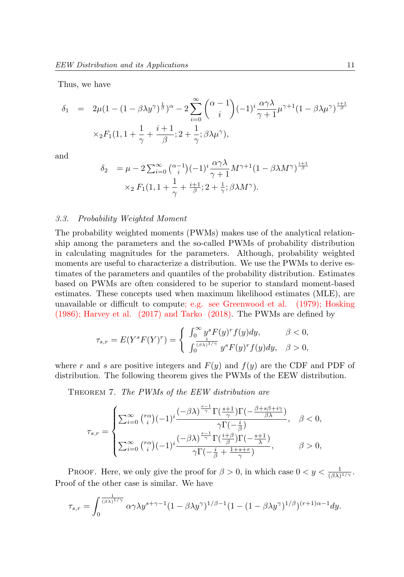Thus, we have

$$
\delta_1 = 2\mu (1 - (1 - \beta \lambda y^{\gamma})^{\frac{1}{\beta}})^{\alpha} - 2 \sum_{i=0}^{\infty} {\alpha - 1 \choose i} (-1)^i \frac{\alpha \gamma \lambda}{\gamma + 1} \mu^{\gamma + 1} (1 - \beta \lambda \mu^{\gamma})^{\frac{i+1}{\beta}}
$$
  
 
$$
\times {}_2F_1(1, 1 + \frac{1}{\gamma} + \frac{i+1}{\beta}; 2 + \frac{1}{\gamma}; \beta \lambda \mu^{\gamma}),
$$

and

$$
\delta_2 = \mu - 2 \sum_{i=0}^{\infty} {\alpha_i - 1 \choose i} (-1)^i \frac{\alpha \gamma \lambda}{\gamma + 1} M^{\gamma + 1} (1 - \beta \lambda M^{\gamma})^{\frac{i+1}{\beta}}
$$

$$
\times_2 F_1(1, 1 + \frac{1}{\gamma} + \frac{i+1}{\beta}; 2 + \frac{1}{\gamma}; \beta \lambda M^{\gamma}).
$$

#### 3.3. Probability Weighted Moment

The probability weighted moments (PWMs) makes use of the analytical relationship among the parameters and the so-called PWMs of probability distribution in calculating magnitudes for the parameters. Although, probability weighted moments are useful to characterize a distribution. We use the PWMs to derive estimates of the parameters and quantiles of the probability distribution. Estimates based on PWMs are often considered to be superior to standard moment-based estimates. These concepts used when maximum likelihood estimates (MLE), are unavailable or difficult to compute; e.g. see Greenwood et al. (1979); Hosking (1986); Harvey et al. (2017) and Tarko (2018). The PWMs are defined by

$$
\tau_{s,r}=E(Y^sF(Y)^r)=\left\{\begin{array}{ll}\int_0^\infty y^sF(y)^rf(y)dy, & \beta<0,\\ \int_0^{\frac{1}{(\beta\lambda)^{1/\gamma}}}y^sF(y)^rf(y)dy, & \beta>0,\end{array}\right.
$$

where r and s are positive integers and  $F(y)$  and  $f(y)$  are the CDF and PDF of distribution. The following theorem gives the PWMs of the EEW distribution.

THEOREM 7. The PWMs of the EEW distribution are

$$
\tau_{s,r} = \begin{cases} \sum_{i=0}^{\infty} \binom{r\alpha}{i} (-1)^i \frac{(-\beta\lambda)^{\frac{s-1}{\gamma}} \Gamma(\frac{s+1}{\gamma}) \Gamma(-\frac{\beta+s\beta+i\gamma}{\beta\lambda})}{\gamma \Gamma(-\frac{i}{\beta})}, & \beta < 0, \\ \sum_{i=0}^{\infty} \binom{r\alpha}{i} (-1)^i \frac{(-\beta\lambda)^{\frac{s-1}{\gamma}} \Gamma(\frac{i+\beta}{\beta}) \Gamma(-\frac{s+1}{\lambda})}{\gamma \Gamma(-\frac{i}{\beta}+\frac{1+s+r}{\gamma})}, & \beta > 0, \end{cases}
$$

PROOF. Here, we only give the proof for  $\beta > 0$ , in which case  $0 < y < \frac{1}{(\beta \lambda)^{1/\gamma}}$ . Proof of the other case is similar. We have

$$
\tau_{s,r} = \int_0^{\frac{1}{(\beta\lambda)^{1/\gamma}}} \alpha \gamma \lambda y^{s+\gamma-1} (1-\beta \lambda y^{\gamma})^{1/\beta-1} (1-(1-\beta \lambda y^{\gamma})^{1/\beta})^{(r+1)\alpha-1} dy.
$$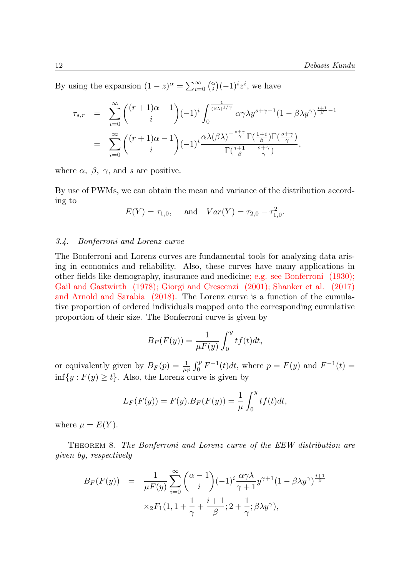By using the expansion  $(1-z)^{\alpha} = \sum_{i=0}^{\infty} {\alpha \choose i} (-1)^i z^i$ , we have

$$
\tau_{s,r} = \sum_{i=0}^{\infty} \binom{(r+1)\alpha-1}{i} (-1)^i \int_0^{\frac{1}{(\beta\lambda)^{1/\gamma}}} \alpha \gamma \lambda y^{s+\gamma-1} (1-\beta \lambda y^{\gamma})^{\frac{i+1}{\beta}-1}
$$
  

$$
= \sum_{i=0}^{\infty} \binom{(r+1)\alpha-1}{i} (-1)^i \frac{\alpha \lambda (\beta \lambda)^{-\frac{s+\gamma}{\gamma}} \Gamma(\frac{1+i}{\beta}) \Gamma(\frac{s+\gamma}{\gamma})}{\Gamma(\frac{i+1}{\beta} - \frac{s+\gamma}{\gamma})},
$$

where  $\alpha$ ,  $\beta$ ,  $\gamma$ , and s are positive.

By use of PWMs, we can obtain the mean and variance of the distribution according to

$$
E(Y) = \tau_{1,0}
$$
, and  $Var(Y) = \tau_{2,0} - \tau_{1,0}^2$ .

### 3.4. Bonferroni and Lorenz curve

The Bonferroni and Lorenz curves are fundamental tools for analyzing data arising in economics and reliability. Also, these curves have many applications in other fields like demography, insurance and medicine; e.g. see Bonferroni (1930); Gail and Gastwirth (1978); Giorgi and Crescenzi (2001); Shanker et al. (2017) and Arnold and Sarabia (2018). The Lorenz curve is a function of the cumulative proportion of ordered individuals mapped onto the corresponding cumulative proportion of their size. The Bonferroni curve is given by

$$
B_F(F(y)) = \frac{1}{\mu F(y)} \int_0^y t f(t) dt,
$$

or equivalently given by  $B_F(p) = \frac{1}{\mu p} \int_0^p F^{-1}(t) dt$ , where  $p = F(y)$  and  $F^{-1}(t) =$  $\inf\{y : F(y) \geq t\}$ . Also, the Lorenz curve is given by

$$
L_F(F(y)) = F(y).B_F(F(y)) = \frac{1}{\mu} \int_0^y t f(t) dt,
$$

where  $\mu = E(Y)$ .

Theorem 8. The Bonferroni and Lorenz curve of the EEW distribution are given by, respectively

$$
B_F(F(y)) = \frac{1}{\mu F(y)} \sum_{i=0}^{\infty} {\alpha - 1 \choose i} (-1)^i \frac{\alpha \gamma \lambda}{\gamma + 1} y^{\gamma + 1} (1 - \beta \lambda y^{\gamma})^{\frac{i+1}{\beta}}
$$

$$
\times {}_2F_1(1, 1 + \frac{1}{\gamma} + \frac{i+1}{\beta}; 2 + \frac{1}{\gamma}; \beta \lambda y^{\gamma}),
$$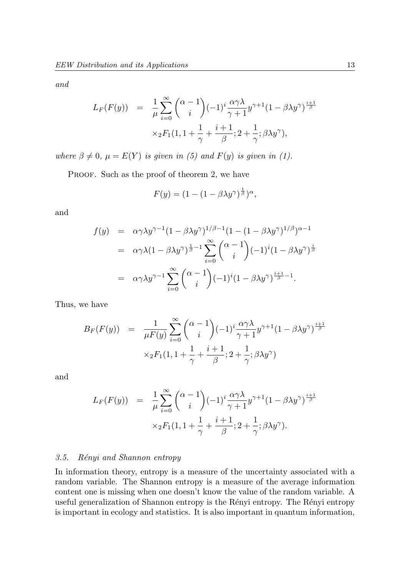and

$$
L_F(F(y)) = \frac{1}{\mu} \sum_{i=0}^{\infty} {\alpha - 1 \choose i} (-1)^i \frac{\alpha \gamma \lambda}{\gamma + 1} y^{\gamma + 1} (1 - \beta \lambda y^{\gamma})^{\frac{i+1}{\beta}}
$$

$$
\times_2 F_1(1, 1 + \frac{1}{\gamma} + \frac{i+1}{\beta}; 2 + \frac{1}{\gamma}; \beta \lambda y^{\gamma}),
$$

where  $\beta \neq 0$ ,  $\mu = E(Y)$  is given in (5) and  $F(y)$  is given in (1).

PROOF. Such as the proof of theorem 2, we have

$$
F(y) = (1 - (1 - \beta \lambda y^{\gamma})^{\frac{1}{\beta}})^{\alpha},
$$

and

$$
f(y) = \alpha \gamma \lambda y^{\gamma - 1} (1 - \beta \lambda y^{\gamma})^{1/\beta - 1} (1 - (1 - \beta \lambda y^{\gamma})^{1/\beta})^{\alpha - 1}
$$
  
\n
$$
= \alpha \gamma \lambda (1 - \beta \lambda y^{\gamma})^{\frac{1}{\beta} - 1} \sum_{i=0}^{\infty} {\alpha - 1 \choose i} (-1)^{i} (1 - \beta \lambda y^{\gamma})^{\frac{i}{\beta}}
$$
  
\n
$$
= \alpha \gamma \lambda y^{\gamma - 1} \sum_{i=0}^{\infty} {\alpha - 1 \choose i} (-1)^{i} (1 - \beta \lambda y^{\gamma})^{\frac{i+1}{\beta} - 1}.
$$

Thus, we have

$$
B_F(F(y)) = \frac{1}{\mu F(y)} \sum_{i=0}^{\infty} {\alpha - 1 \choose i} (-1)^i \frac{\alpha \gamma \lambda}{\gamma + 1} y^{\gamma + 1} (1 - \beta \lambda y^{\gamma})^{\frac{i+1}{\beta}}
$$

$$
\times_2 F_1(1, 1 + \frac{1}{\gamma} + \frac{i+1}{\beta}; 2 + \frac{1}{\gamma}; \beta \lambda y^{\gamma})
$$

and

$$
L_F(F(y)) = \frac{1}{\mu} \sum_{i=0}^{\infty} {\alpha - 1 \choose i} (-1)^i \frac{\alpha \gamma \lambda}{\gamma + 1} y^{\gamma + 1} (1 - \beta \lambda y^{\gamma})^{\frac{i+1}{\beta}}
$$

$$
\times {}_2F_1(1, 1 + \frac{1}{\gamma} + \frac{i+1}{\beta}; 2 + \frac{1}{\gamma}; \beta \lambda y^{\gamma}).
$$

#### 3.5. Rényi and Shannon entropy

In information theory, entropy is a measure of the uncertainty associated with a random variable. The Shannon entropy is a measure of the average information content one is missing when one doesn't know the value of the random variable. A useful generalization of Shannon entropy is the Rényi entropy. The Rényi entropy is important in ecology and statistics. It is also important in quantum information,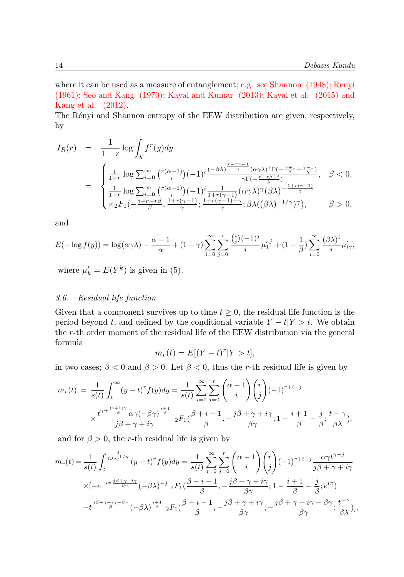where it can be used as a measure of entanglement; e.g. see Shannon (1948); Renyi (1961); Seo and Kang (1970); Kayal and Kumar (2013); Kayal et al. (2015) and Kang et al. (2012).

The Rényi and Shannon entropy of the EEW distribution are given, respectively, by

$$
I_R(r) = \frac{1}{1-r} \log \int_y f^r(y) dy
$$
  
= 
$$
\begin{cases} \frac{1}{1-r} \log \sum_{i=0}^{\infty} {r(\alpha-1) (-1)^i \frac{(-\beta \lambda)^{\frac{r-r\gamma-1}{\gamma}} (\alpha \gamma \lambda)^{\gamma} \Gamma(-\frac{\gamma+1}{\beta} + \frac{\gamma-1}{\gamma})}{\gamma \Gamma(-\frac{r-r\beta+i}{\beta})}}, & \beta < 0, \\ \frac{1}{1-r} \log \sum_{i=0}^{\infty} {r(\alpha-1) (-1)^i \frac{1}{1+r(\gamma-1)} (\alpha \gamma \lambda)^{\gamma} (\beta \lambda)^{-\frac{1+r(\gamma-1)}{\gamma}}}{\gamma \Gamma(-\frac{r-r\beta}{\gamma})}, & \beta > 0, \end{cases}
$$

and

$$
E(-\log f(y)) = \log(\alpha \gamma \lambda) - \frac{\alpha - 1}{\alpha} + (1 - \gamma) \sum_{i=0}^{\infty} \sum_{j=0}^{i} \frac{{i \choose j} (-1)^j}{i} \mu_1^{j-j} + (1 - \frac{1}{\beta}) \sum_{i=0}^{\infty} \frac{(\beta \lambda)^i}{i} \mu_{i\gamma}^{j},
$$

where  $\mu'_{k} = E(Y^{k})$  is given in (5).

# 3.6. Residual life function

Given that a component survives up to time  $t \geq 0$ , the residual life function is the period beyond t, and defined by the conditional variable  $Y - t|Y > t$ . We obtain the r-th order moment of the residual life of the EEW distribution via the general formula

$$
m_r(t) = E[(Y - t)^r | Y > t],
$$

in two cases;  $\beta < 0$  and  $\beta > 0$ . Let  $\beta < 0$ , thus the r-th residual life is given by

$$
m_r(t) = \frac{1}{s(t)} \int_t^{\infty} (y - t)^r f(y) dy = \frac{1}{s(t)} \sum_{i=0}^{\infty} \sum_{j=0}^r {\alpha - 1 \choose i} {r \choose j} (-1)^{r+i-j}
$$

$$
\times \frac{t^{\gamma + \frac{(i+1)\gamma}{\beta}} \alpha \gamma (-\beta \gamma)^{\frac{i+1}{\beta}}}{j\beta + \gamma + i\gamma} {}_2F_1(\frac{\beta + i - 1}{\beta}, -\frac{j\beta + \gamma + i\gamma}{\beta \gamma}; 1 - \frac{i+1}{\beta} - \frac{j}{\beta}; \frac{t - \gamma}{\beta \lambda}),
$$

and for  $\beta > 0$ , the r-th residual life is given by

$$
m_r(t) = \frac{1}{s(t)} \int_t^{\frac{1}{(\beta \lambda)^{1/\gamma}}} (y-t)^r f(y) dy = \frac{1}{s(t)} \sum_{i=0}^{\infty} \sum_{j=0}^r \binom{\alpha-1}{i} \binom{r}{j} (-1)^{r+i-j} \frac{\alpha \gamma t^{\gamma-j}}{j\beta + \gamma + i\gamma}
$$

$$
\times [-e^{-i\pi \frac{j\beta + \gamma + i\gamma}{\beta \gamma}} (-\beta \lambda)^{-j} {}_2F_1(\frac{\beta - i - 1}{\beta}, -\frac{j\beta + \gamma + i\gamma}{\beta \gamma}; 1 - \frac{i+1}{\beta} - \frac{j}{\beta}; e^{i\pi})
$$

$$
+ t^{\frac{j\beta + \gamma + i\gamma - \beta \gamma}{\beta}} (-\beta \lambda)^{\frac{i+1}{\beta}} {}_2F_1(\frac{\beta - i - 1}{\beta}, -\frac{j\beta + \gamma + i\gamma}{\beta \gamma}; -\frac{j\beta + \gamma + i\gamma - \beta \gamma}{\beta \gamma}; \frac{t^{-\gamma}}{\beta \lambda})],
$$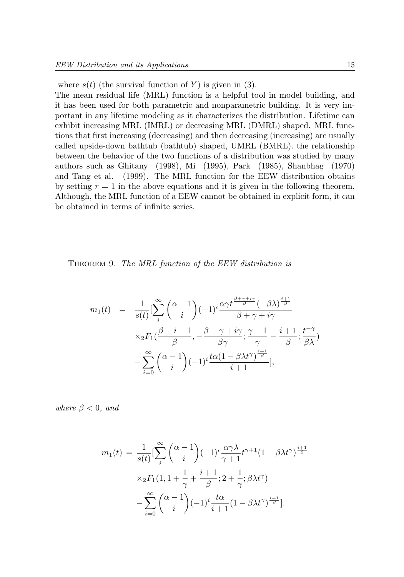where  $s(t)$  (the survival function of Y) is given in (3).

The mean residual life (MRL) function is a helpful tool in model building, and it has been used for both parametric and nonparametric building. It is very important in any lifetime modeling as it characterizes the distribution. Lifetime can exhibit increasing MRL (IMRL) or decreasing MRL (DMRL) shaped. MRL functions that first increasing (decreasing) and then decreasing (increasing) are usually called upside-down bathtub (bathtub) shaped, UMRL (BMRL). the relationship between the behavior of the two functions of a distribution was studied by many authors such as Ghitany (1998), Mi (1995), Park (1985), Shanbhag (1970) and Tang et al. (1999). The MRL function for the EEW distribution obtains by setting  $r = 1$  in the above equations and it is given in the following theorem. Although, the MRL function of a EEW cannot be obtained in explicit form, it can be obtained in terms of infinite series.

THEOREM 9. The MRL function of the EEW distribution is

$$
m_1(t) = \frac{1}{s(t)} \left[ \sum_{i}^{\infty} {\alpha - 1 \choose i} (-1)^i \frac{\alpha \gamma t^{\frac{\beta + \gamma + i\gamma}{\beta}} (-\beta \lambda)^{\frac{i+1}{\beta}}}{\beta + \gamma + i\gamma} \times {}_{2}F_1(\frac{\beta - i - 1}{\beta}, -\frac{\beta + \gamma + i\gamma}{\beta \gamma}; \frac{\gamma - 1}{\gamma} - \frac{i+1}{\beta}; \frac{t^{-\gamma}}{\beta \lambda}) - {}_{\frac{\infty}{i=0}} {\alpha - 1 \choose i} (-1)^i \frac{t\alpha(1 - \beta \lambda t^{\gamma})^{\frac{i+1}{\beta}}}{i+1}],
$$

where  $\beta < 0$ , and

$$
m_1(t) = \frac{1}{s(t)} \left[ \sum_{i}^{\infty} {\alpha - 1 \choose i} (-1)^i \frac{\alpha \gamma \lambda}{\gamma + 1} t^{\gamma + 1} (1 - \beta \lambda t^{\gamma})^{\frac{i+1}{\beta}} \right]
$$

$$
\times {}_2F_1(1, 1 + \frac{1}{\gamma} + \frac{i+1}{\beta}; 2 + \frac{1}{\gamma}; \beta \lambda t^{\gamma})
$$

$$
- \sum_{i=0}^{\infty} {\alpha - 1 \choose i} (-1)^i \frac{t\alpha}{i+1} (1 - \beta \lambda t^{\gamma})^{\frac{i+1}{\beta}}.
$$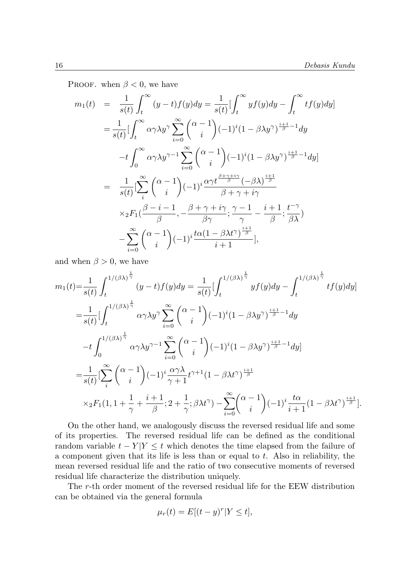PROOF. when  $\beta < 0$ , we have

$$
m_1(t) = \frac{1}{s(t)} \int_t^{\infty} (y-t) f(y) dy = \frac{1}{s(t)} \left[ \int_t^{\infty} y f(y) dy - \int_t^{\infty} t f(y) dy \right]
$$
  
\n
$$
= \frac{1}{s(t)} \left[ \int_t^{\infty} \alpha \gamma \lambda y^{\gamma} \sum_{i=0}^{\infty} {\alpha-i \choose i} (-1)^i (1-\beta \lambda y^{\gamma})^{\frac{i+1}{\beta}-1} dy \right]
$$
  
\n
$$
-t \int_0^{\infty} \alpha \gamma \lambda y^{\gamma-1} \sum_{i=0}^{\infty} {\alpha-i \choose i} (-1)^i (1-\beta \lambda y^{\gamma})^{\frac{i+1}{\beta}-1} dy]
$$
  
\n
$$
= \frac{1}{s(t)} \left[ \sum_{i}^{\infty} {\alpha-i \choose i} (-1)^i \frac{\alpha \gamma t^{\frac{\beta+\gamma+i\gamma}{\beta}} (-\beta \lambda)^{\frac{i+1}{\beta}}}{\beta+\gamma+i\gamma} \right]
$$
  
\n
$$
\times {}_2F_1 (\frac{\beta-i-1}{\beta}, -\frac{\beta+\gamma+i\gamma}{\beta \gamma}; \frac{\gamma-1}{\gamma} - \frac{i+1}{\beta}; \frac{t^{-\gamma}}{\beta \lambda})
$$
  
\n
$$
- \sum_{i=0}^{\infty} {\alpha-i \choose i} (-1)^i \frac{t\alpha(1-\beta \lambda t^{\gamma})^{\frac{i+1}{\beta}}}{i+1}],
$$

and when  $\beta > 0$ , we have

$$
m_{1}(t) = \frac{1}{s(t)} \int_{t}^{1/(\beta\lambda)^{\frac{1}{\gamma}}} (y-t)f(y)dy = \frac{1}{s(t)} \Big[ \int_{t}^{1/(\beta\lambda)^{\frac{1}{\gamma}}} yf(y)dy - \int_{t}^{1/(\beta\lambda)^{\frac{1}{\gamma}}} tf(y)dy \Big]
$$
  
\n
$$
= \frac{1}{s(t)} \Big[ \int_{t}^{1/(\beta\lambda)^{\frac{1}{\gamma}}} \alpha\gamma \lambda y^{\gamma} \sum_{i=0}^{\infty} {\alpha-1 \choose i} (-1)^{i} (1-\beta\lambda y^{\gamma})^{\frac{i+1}{\beta}-1} dy
$$
  
\n
$$
-t \int_{0}^{1/(\beta\lambda)^{\frac{1}{\gamma}}} \alpha\gamma \lambda y^{\gamma-1} \sum_{i=0}^{\infty} {\alpha-1 \choose i} (-1)^{i} (1-\beta\lambda y^{\gamma})^{\frac{i+1}{\beta}-1} dy]
$$
  
\n
$$
= \frac{1}{s(t)} \Big[\sum_{i}^{\infty} {\alpha-1 \choose i} (-1)^{i} \frac{\alpha\gamma\lambda}{\gamma+1} t^{\gamma+1} (1-\beta\lambda t^{\gamma})^{\frac{i+1}{\beta}}
$$
  
\n
$$
\times {}_{2}F_{1}(1, 1 + \frac{1}{\gamma} + \frac{i+1}{\beta}; 2 + \frac{1}{\gamma}; \beta\lambda t^{\gamma}) - \sum_{i=0}^{\infty} {\alpha-1 \choose i} (-1)^{i} \frac{t\alpha}{i+1} (1-\beta\lambda t^{\gamma})^{\frac{i+1}{\beta}}].
$$

On the other hand, we analogously discuss the reversed residual life and some of its properties. The reversed residual life can be defined as the conditional random variable  $t - Y|Y \leq t$  which denotes the time elapsed from the failure of a component given that its life is less than or equal to t. Also in reliability, the mean reversed residual life and the ratio of two consecutive moments of reversed residual life characterize the distribution uniquely.

The r-th order moment of the reversed residual life for the EEW distribution can be obtained via the general formula

$$
\mu_r(t) = E[(t - y)^r | Y \le t],
$$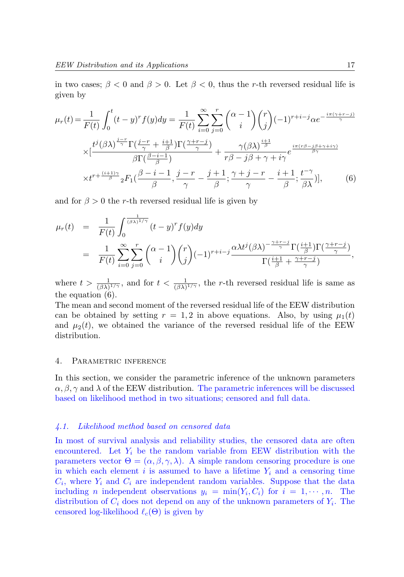in two cases;  $\beta < 0$  and  $\beta > 0$ . Let  $\beta < 0$ , thus the r-th reversed residual life is given by

$$
\mu_r(t) = \frac{1}{F(t)} \int_0^t (t - y)^r f(y) dy = \frac{1}{F(t)} \sum_{i=0}^\infty \sum_{j=0}^r \binom{\alpha - 1}{i} \binom{r}{j} (-1)^{r+i-j} \alpha e^{-\frac{i\pi(\gamma + r - j)}{\gamma}}
$$

$$
\times \left[ \frac{t^j (\beta \lambda)^{\frac{j-r}{\gamma}} \Gamma(\frac{j-r}{\gamma} + \frac{i+1}{\beta}) \Gamma(\frac{\gamma + r - j}{\gamma})}{\beta \Gamma(\frac{\beta - i - 1}{\beta})} + \frac{\gamma(\beta \lambda)^{\frac{i+1}{\beta}}}{r\beta - j\beta + \gamma + i\gamma} e^{\frac{i\pi(r\beta - j\beta + \gamma + i\gamma)}{\beta \gamma}}
$$

$$
\times t^{r + \frac{(i+1)\gamma}{\beta}} {}_2F_1(\frac{\beta - i - 1}{\beta}, \frac{j - r}{\gamma} - \frac{j+1}{\beta}; \frac{\gamma + j - r}{\gamma} - \frac{i+1}{\beta}; \frac{t^{-\gamma}}{\beta \lambda})], \qquad (6)
$$

and for  $\beta > 0$  the r-th reversed residual life is given by

$$
\mu_r(t) = \frac{1}{F(t)} \int_0^{\frac{1}{(\beta \lambda)^{1/\gamma}}} (t - y)^r f(y) dy
$$
  
= 
$$
\frac{1}{F(t)} \sum_{i=0}^{\infty} \sum_{j=0}^r {\alpha - 1 \choose i} {r \choose j} (-1)^{r+i-j} \frac{\alpha \lambda t^j (\beta \lambda)^{-\frac{\gamma + r - j}{\gamma}} \Gamma(\frac{i+1}{\beta}) \Gamma(\frac{\gamma + r - j}{\gamma})}{\Gamma(\frac{i+1}{\beta} + \frac{\gamma + r - j}{\gamma})},
$$

where  $t > \frac{1}{(\beta \lambda)^{1/\gamma}}$ , and for  $t < \frac{1}{(\beta \lambda)^{1/\gamma}}$ , the r-th reversed residual life is same as the equation (6).

The mean and second moment of the reversed residual life of the EEW distribution can be obtained by setting  $r = 1, 2$  in above equations. Also, by using  $\mu_1(t)$ and  $\mu_2(t)$ , we obtained the variance of the reversed residual life of the EEW distribution.

#### 4. Parametric inference

In this section, we consider the parametric inference of the unknown parameters  $\alpha, \beta, \gamma$  and  $\lambda$  of the EEW distribution. The parametric inferences will be discussed based on likelihood method in two situations; censored and full data.

#### 4.1. Likelihood method based on censored data

In most of survival analysis and reliability studies, the censored data are often encountered. Let  $Y_i$  be the random variable from EEW distribution with the parameters vector  $\Theta = (\alpha, \beta, \gamma, \lambda)$ . A simple random censoring procedure is one in which each element i is assumed to have a lifetime  $Y_i$  and a censoring time  $C_i$ , where  $Y_i$  and  $C_i$  are independent random variables. Suppose that the data including *n* independent observations  $y_i = \min(Y_i, C_i)$  for  $i = 1, \dots, n$ . The distribution of  $C_i$  does not depend on any of the unknown parameters of  $Y_i$ . The censored log-likelihood  $\ell_c(\Theta)$  is given by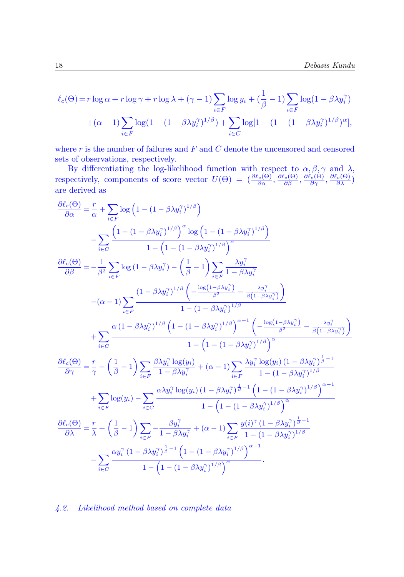$$
\ell_c(\Theta) = r \log \alpha + r \log \gamma + r \log \lambda + (\gamma - 1) \sum_{i \in F} \log y_i + (\frac{1}{\beta} - 1) \sum_{i \in F} \log (1 - \beta \lambda y_i^{\gamma})
$$

$$
+(\alpha - 1) \sum_{i \in F} \log (1 - (1 - \beta \lambda y_i^{\gamma})^{1/\beta}) + \sum_{i \in C} \log [1 - (1 - (1 - \beta \lambda y_i^{\gamma})^{1/\beta})^{\alpha}],
$$

where  $r$  is the number of failures and  $F$  and  $C$  denote the uncensored and censored sets of observations, respectively.

By differentiating the log-likelihood function with respect to  $\alpha, \beta, \gamma$  and  $\lambda$ , respectively, components of score vector  $U(\Theta) = \left(\frac{\partial \ell_c(\Theta)}{\partial \alpha}, \frac{\partial \ell_c(\Theta)}{\partial \beta}, \frac{\partial \ell_c(\Theta)}{\partial \gamma}, \frac{\partial \ell_c(\Theta)}{\partial \lambda}\right)$ are derived as

$$
\begin{split} \frac{\partial \ell_{e}(\Theta)}{\partial \alpha} &= \frac{r}{\alpha} + \sum_{i \in F} \log \left( 1 - (1 - \beta \lambda y_{i}^{\gamma})^{1/\beta} \right) \\ &= \sum_{i \in C} \frac{\left( 1 - (1 - \beta \lambda y_{i}^{\gamma})^{1/\beta} \right)^{\alpha} \log \left( 1 - (1 - \beta \lambda y_{i}^{\gamma})^{1/\beta} \right)}{1 - \left( 1 - (1 - \beta \lambda y_{i}^{\gamma})^{1/\beta} \right)^{\alpha}} \\ \frac{\partial \ell_{e}(\Theta)}{\partial \beta} &= -\frac{1}{\beta^{2}} \sum_{i \in F} \log \left( 1 - \beta \lambda y_{i}^{\gamma} \right) - \left( \frac{1}{\beta} - 1 \right) \sum_{i \in F} \frac{\lambda y_{i}^{\gamma}}{1 - \beta \lambda y_{i}^{\gamma}} \\ &- (\alpha - 1) \sum_{i \in F} \frac{\left( 1 - \beta \lambda y_{i}^{\gamma} \right)^{1/\beta} \left( -\frac{\log(1 - \beta \lambda y_{i}^{\gamma})}{\beta^{2}} - \frac{\lambda y_{i}^{\gamma}}{\beta (1 - \beta \lambda y_{i}^{\gamma})} \right)}{1 - (1 - \beta \lambda y_{i}^{\gamma})^{1/\beta}} \\ &+ \sum_{i \in C} \frac{\alpha \left( 1 - \beta \lambda y_{i}^{\gamma} \right)^{1/\beta} \left( 1 - (1 - \beta \lambda y_{i}^{\gamma})^{1/\beta} \right)^{\alpha - 1} \left( -\frac{\log(1 - \beta \lambda y_{i}^{\gamma})}{\beta^{2}} - \frac{\lambda y_{i}^{\gamma}}{\beta (1 - \beta \lambda y_{i}^{\gamma})} \right)}{1 - \left( 1 - (1 - (\beta \lambda y_{i}^{\gamma})^{1/\beta} \right)^{\alpha}} \\ \frac{\partial \ell_{e}(\Theta)}{\partial \gamma} &= \frac{r}{\gamma} - \left( \frac{1}{\beta} - 1 \right) \sum_{i \in F} \frac{\beta \lambda y_{i}^{\gamma} \log(y_{i})}{1 - \beta \lambda y_{i}^{\gamma}} + (\alpha - 1) \sum_{i \in F} \frac{\lambda y_{i}^{\gamma} \log(y_{i}) \left( 1 - \beta \lambda y_{i}^{\gamma} \right)^{\frac{
$$

4.2. Likelihood method based on complete data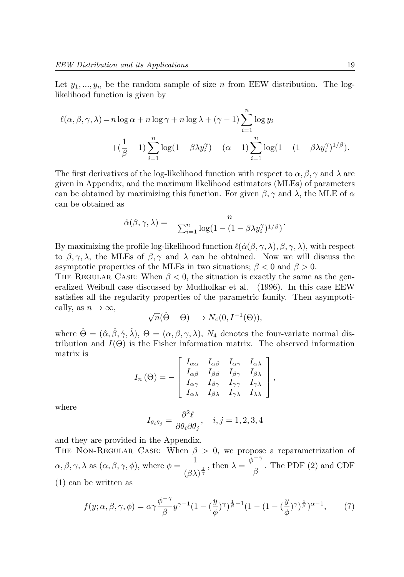Let  $y_1, ..., y_n$  be the random sample of size n from EEW distribution. The loglikelihood function is given by

$$
\ell(\alpha, \beta, \gamma, \lambda) = n \log \alpha + n \log \gamma + n \log \lambda + (\gamma - 1) \sum_{i=1}^{n} \log y_i
$$
  
+ 
$$
(\frac{1}{\beta} - 1) \sum_{i=1}^{n} \log(1 - \beta \lambda y_i^{\gamma}) + (\alpha - 1) \sum_{i=1}^{n} \log(1 - (1 - \beta \lambda y_i^{\gamma})^{1/\beta}).
$$

The first derivatives of the log-likelihood function with respect to  $\alpha, \beta, \gamma$  and  $\lambda$  are given in Appendix, and the maximum likelihood estimators (MLEs) of parameters can be obtained by maximizing this function. For given  $\beta$ ,  $\gamma$  and  $\lambda$ , the MLE of  $\alpha$ can be obtained as

$$
\hat{\alpha}(\beta, \gamma, \lambda) = -\frac{n}{\sum_{i=1}^{n} \log(1 - (1 - \beta \lambda y_i^{\gamma})^{1/\beta})}.
$$

By maximizing the profile log-likelihood function  $\ell(\hat{\alpha}(\beta, \gamma, \lambda), \beta, \gamma, \lambda)$ , with respect to  $\beta, \gamma, \lambda$ , the MLEs of  $\beta, \gamma$  and  $\lambda$  can be obtained. Now we will discuss the asymptotic properties of the MLEs in two situations;  $\beta < 0$  and  $\beta > 0$ .

THE REGULAR CASE: When  $\beta < 0$ , the situation is exactly the same as the generalized Weibull case discussed by Mudholkar et al. (1996). In this case EEW satisfies all the regularity properties of the parametric family. Then asymptotically, as  $n \to \infty$ ,

$$
\sqrt{n}(\hat{\Theta} - \Theta) \longrightarrow N_4(0, I^{-1}(\Theta)),
$$

where  $\hat{\Theta} = (\hat{\alpha}, \hat{\beta}, \hat{\gamma}, \hat{\lambda}), \Theta = (\alpha, \beta, \gamma, \lambda), N_4$  denotes the four-variate normal distribution and  $I(\Theta)$  is the Fisher information matrix. The observed information matrix is

$$
I_n(\Theta) = -\begin{bmatrix} I_{\alpha\alpha} & I_{\alpha\beta} & I_{\alpha\gamma} & I_{\alpha\lambda} \\ I_{\alpha\beta} & I_{\beta\beta} & I_{\beta\gamma} & I_{\beta\lambda} \\ I_{\alpha\gamma} & I_{\beta\gamma} & I_{\gamma\gamma} & I_{\gamma\lambda} \\ I_{\alpha\lambda} & I_{\beta\lambda} & I_{\gamma\lambda} & I_{\lambda\lambda} \end{bmatrix},
$$

where

$$
I_{\theta_i \theta_j} = \frac{\partial^2 \ell}{\partial \theta_i \partial \theta_j}, \quad i, j = 1, 2, 3, 4
$$

and they are provided in the Appendix.

THE NON-REGULAR CASE: When  $\beta > 0$ , we propose a reparametrization of  $\alpha, \beta, \gamma, \lambda$  as  $(\alpha, \beta, \gamma, \phi)$ , where  $\phi = \frac{1}{\sqrt{2\pi}}$  $\frac{1}{(\beta\lambda)^{\frac{1}{\gamma}}}, \text{ then } \lambda = \frac{\bar{\phi}^{-\gamma}}{\beta}$  $\frac{1}{\beta}$ . The PDF (2) and CDF

(1) can be written as

$$
f(y; \alpha, \beta, \gamma, \phi) = \alpha \gamma \frac{\phi^{-\gamma}}{\beta} y^{\gamma - 1} (1 - \left(\frac{y}{\phi}\right)^{\gamma})^{\frac{1}{\beta} - 1} (1 - (1 - \left(\frac{y}{\phi}\right)^{\gamma})^{\frac{1}{\beta}})^{\alpha - 1},\tag{7}
$$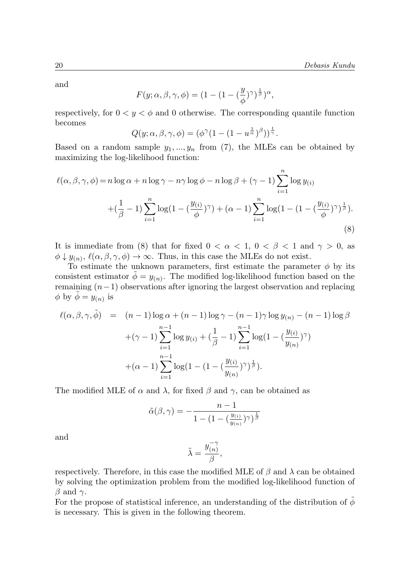and

$$
F(y; \alpha, \beta, \gamma, \phi) = (1 - (1 - (\frac{y}{\phi})^{\gamma})^{\frac{1}{\beta}})^{\alpha},
$$

respectively, for  $0 < y < \phi$  and 0 otherwise. The corresponding quantile function becomes

$$
Q(y; \alpha, \beta, \gamma, \phi) = (\phi^{\gamma}(1 - (1 - u^{\frac{1}{\alpha}})^{\beta}))^{\frac{1}{\gamma}}.
$$

Based on a random sample  $y_1, ..., y_n$  from (7), the MLEs can be obtained by maximizing the log-likelihood function:

$$
\ell(\alpha, \beta, \gamma, \phi) = n \log \alpha + n \log \gamma - n \gamma \log \phi - n \log \beta + (\gamma - 1) \sum_{i=1}^{n} \log y_{(i)}
$$

$$
+ \left(\frac{1}{\beta} - 1\right) \sum_{i=1}^{n} \log \left(1 - \left(\frac{y_{(i)}}{\phi}\right)^{\gamma}\right) + (\alpha - 1) \sum_{i=1}^{n} \log \left(1 - \left(1 - \left(\frac{y_{(i)}}{\phi}\right)^{\gamma}\right)^{\frac{1}{\beta}}\right). \tag{8}
$$

It is immediate from (8) that for fixed  $0 < \alpha < 1$ ,  $0 < \beta < 1$  and  $\gamma > 0$ , as  $\phi \downarrow y_{(n)}, \ell(\alpha, \beta, \gamma, \phi) \rightarrow \infty$ . Thus, in this case the MLEs do not exist.

To estimate the unknown parameters, first estimate the parameter  $\phi$  by its consistent estimator  $\tilde{\phi} = y_{(n)}$ . The modified log-likelihood function based on the remaining  $(n-1)$  observations after ignoring the largest observation and replacing  $\phi$  by  $\tilde{\phi} = y_{(n)}$  is

$$
\ell(\alpha, \beta, \gamma, \tilde{\phi}) = (n-1) \log \alpha + (n-1) \log \gamma - (n-1) \gamma \log y_{(n)} - (n-1) \log \beta \n+ (\gamma - 1) \sum_{i=1}^{n-1} \log y_{(i)} + (\frac{1}{\beta} - 1) \sum_{i=1}^{n-1} \log (1 - (\frac{y_{(i)}}{y_{(n)}})^{\gamma}) \n+ (\alpha - 1) \sum_{i=1}^{n-1} \log (1 - (1 - (\frac{y_{(i)}}{y_{(n)}})^{\gamma})^{\frac{1}{\beta}}).
$$

The modified MLE of  $\alpha$  and  $\lambda$ , for fixed  $\beta$  and  $\gamma$ , can be obtained as

$$
\tilde{\alpha}(\beta,\gamma)=-\frac{n-1}{1-\big(1-(\frac{y_{(i)}}{y_{(n)}})^\gamma\big)^{\frac{1}{\beta}}}
$$

and

$$
\tilde{\lambda} = \frac{y_{(n)}^{-\gamma}}{\beta},
$$

respectively. Therefore, in this case the modified MLE of  $\beta$  and  $\lambda$  can be obtained by solving the optimization problem from the modified log-likelihood function of  $\beta$  and  $\gamma$ .

For the propose of statistical inference, an understanding of the distribution of  $\dot{\phi}$ is necessary. This is given in the following theorem.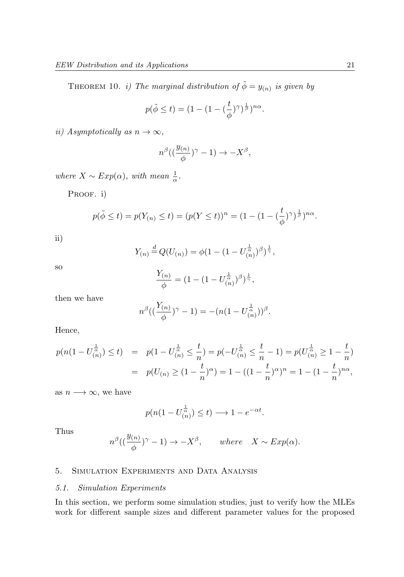THEOREM 10. *i*) The marginal distribution of  $\tilde{\phi} = y_{(n)}$  is given by

$$
p(\tilde{\phi} \le t) = (1 - (1 - (\frac{t}{\phi})^{\gamma})^{\frac{1}{\beta}})^{n\alpha}.
$$

ii) Asymptotically as  $n \to \infty$ ,

$$
n^{\beta}((\frac{y_{(n)}}{\phi})^{\gamma}-1)\rightarrow -X^{\beta},
$$

where  $X \sim Exp(\alpha)$ , with mean  $\frac{1}{\alpha}$ .

PROOF. i)

$$
p(\tilde{\phi} \le t) = p(Y_{(n)} \le t) = (p(Y \le t))^n = (1 - (1 - (\frac{t}{\phi})^{\gamma})^{\frac{1}{\beta}})^{n\alpha}.
$$

ii)

$$
Y_{(n)} \stackrel{d}{=} Q(U_{(n)}) = \phi(1 - (1 - U_{(n)}^{\frac{1}{\alpha}})^{\beta})^{\frac{1}{\gamma}},
$$

so

$$
\frac{Y_{(n)}}{\phi} = (1 - (1 - U_{(n)}^{\frac{1}{\alpha}})^{\beta})^{\frac{1}{\gamma}},
$$

then we have

$$
n^{\beta}((\frac{Y_{(n)}}{\phi})^{\gamma}-1)=-(n(1-U_{(n)}^{\frac{1}{\alpha}}))^{\beta}.
$$

Hence,

$$
p(n(1 - U_{(n)}^{\frac{1}{\alpha}}) \le t) = p(1 - U_{(n)}^{\frac{1}{\alpha}} \le \frac{t}{n}) = p(-U_{(n)}^{\frac{1}{\alpha}} \le \frac{t}{n} - 1) = p(U_{(n)}^{\frac{1}{\alpha}} \ge 1 - \frac{t}{n})
$$
  
= 
$$
p(U_{(n)} \ge (1 - \frac{t}{n})^{\alpha}) = 1 - ((1 - \frac{t}{n})^{\alpha})^n = 1 - (1 - \frac{t}{n})^{\alpha\alpha},
$$

as  $n \longrightarrow \infty$ , we have

$$
p(n(1-U_{(n)}^{\frac{1}{\alpha}}) \leq t) \longrightarrow 1 - e^{-\alpha t}.
$$

Thus

$$
n^{\beta}((\frac{y_{(n)}}{\phi})^{\gamma}-1) \to -X^{\beta}, \quad where \quad X \sim Exp(\alpha).
$$

# 5. Simulation Experiments and Data Analysis

# 5.1. Simulation Experiments

In this section, we perform some simulation studies, just to verify how the MLEs work for different sample sizes and different parameter values for the proposed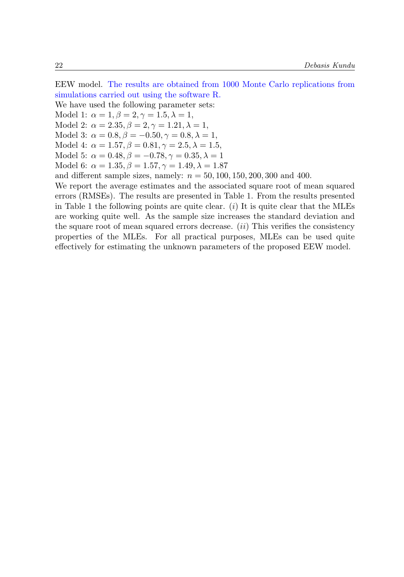EEW model. The results are obtained from 1000 Monte Carlo replications from simulations carried out using the software R.

We have used the following parameter sets: Model 1:  $\alpha = 1, \beta = 2, \gamma = 1.5, \lambda = 1,$ Model 2:  $\alpha = 2.35, \beta = 2, \gamma = 1.21, \lambda = 1,$ Model 3:  $\alpha = 0.8, \beta = -0.50, \gamma = 0.8, \lambda = 1,$ Model 4:  $\alpha = 1.57, \beta = 0.81, \gamma = 2.5, \lambda = 1.5,$ Model 5:  $\alpha = 0.48, \beta = -0.78, \gamma = 0.35, \lambda = 1$ Model 6:  $\alpha = 1.35, \beta = 1.57, \gamma = 1.49, \lambda = 1.87$ and different sample sizes, namely:  $n = 50, 100, 150, 200, 300$  and 400. We report the average estimates and the associated square root of mean squared errors (RMSEs). The results are presented in Table 1. From the results presented

in Table 1 the following points are quite clear.  $(i)$  It is quite clear that the MLEs are working quite well. As the sample size increases the standard deviation and the square root of mean squared errors decrease.  $(ii)$  This verifies the consistency properties of the MLEs. For all practical purposes, MLEs can be used quite effectively for estimating the unknown parameters of the proposed EEW model.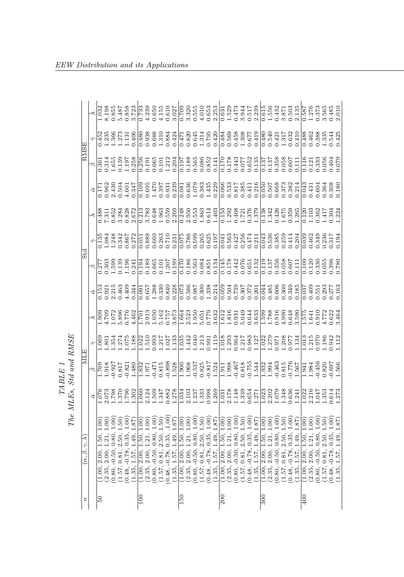|                                  |                                                                             | .198                                                                     | .855                         | 5.487                                                           | 0.858                       |       | $\frac{52}{3}$     | .239                      | 0.650                     |                                                                         |       | $\begin{array}{r} 4.155 \\ 0.610 \\ 3.027 \\ 7.09 \\ 3.320 \\ 3.55 \\ 0.031 \\ \end{array}$                                                                                                                                                                                                                                                                                                                                                              |                                                                                                                                                                                                                                                                                               |        |        |                       |                                       | $\frac{1.010}{2.253}$ |                                |               |                    | $\begin{array}{ l }\n\hline\n0.529 \\ 0.529 \\ 1.5344 \\ 0.517 \\ 0.839 \\ 0.339\n\end{array}$                               |       |                        | 1.615                                                                        |        | 1432                             | 1.871                    | .503                                                                             | 135        | .587                                 | 276                       |                  | .565                                                                                             | 1.485 |               |
|----------------------------------|-----------------------------------------------------------------------------|--------------------------------------------------------------------------|------------------------------|-----------------------------------------------------------------|-----------------------------|-------|--------------------|---------------------------|---------------------------|-------------------------------------------------------------------------|-------|----------------------------------------------------------------------------------------------------------------------------------------------------------------------------------------------------------------------------------------------------------------------------------------------------------------------------------------------------------------------------------------------------------------------------------------------------------|-----------------------------------------------------------------------------------------------------------------------------------------------------------------------------------------------------------------------------------------------------------------------------------------------|--------|--------|-----------------------|---------------------------------------|-----------------------|--------------------------------|---------------|--------------------|------------------------------------------------------------------------------------------------------------------------------|-------|------------------------|------------------------------------------------------------------------------|--------|----------------------------------|--------------------------|----------------------------------------------------------------------------------|------------|--------------------------------------|---------------------------|------------------|--------------------------------------------------------------------------------------------------|-------|---------------|
| RMSE                             | $\frac{8}{152}$<br>$-1.356$<br>$-1.356$<br>$-1.352$<br>$-1.353$<br>$-1.354$ |                                                                          |                              |                                                                 |                             |       |                    |                           |                           |                                                                         |       |                                                                                                                                                                                                                                                                                                                                                                                                                                                          |                                                                                                                                                                                                                                                                                               |        |        |                       |                                       |                       |                                |               |                    |                                                                                                                              |       |                        | $\frac{1.480}{0.540}$                                                        |        | 0.421                            | 1.317                    | 0.632                                                                            |            | 0.488                                |                           |                  | 1628854425<br>138854425<br>110.425                                                               |       |               |
|                                  | $\frac{1}{36}$                                                              | 1.314                                                                    | .655                         | $\begin{array}{c} 2.39 \\ -1.38 \\ -1.28 \end{array}$           |                             |       | $\frac{256}{5}$    |                           |                           | $\begin{array}{c} 1.91 \\ 0.665 \\ 0.101 \\ 1.212 \\ 0.304 \end{array}$ |       |                                                                                                                                                                                                                                                                                                                                                                                                                                                          |                                                                                                                                                                                                                                                                                               |        |        |                       | 0.197<br>0.188<br>0.00852<br>0.000000 |                       | $\frac{0.170}{2}$              |               |                    | 821443<br>2000<br>2000<br>2000                                                                                               |       |                        | $\frac{137}{2}$                                                              | 0.137  | 0.358                            | 0.058                    | 0.607                                                                            | E          | 116                                  | 0.121                     |                  | 0.333<br>0.404<br>0.404                                                                          |       | 0.079         |
|                                  |                                                                             | .962                                                                     |                              | 2.430<br>0.504<br>1.601                                         |                             | 1.347 |                    | $\frac{109}{0.695}$       |                           |                                                                         |       |                                                                                                                                                                                                                                                                                                                                                                                                                                                          |                                                                                                                                                                                                                                                                                               |        |        |                       |                                       |                       |                                |               |                    |                                                                                                                              |       |                        |                                                                              |        |                                  |                          |                                                                                  |            |                                      |                           |                  | 131<br>0.604<br>0.364<br>0.180                                                                   |       |               |
|                                  |                                                                             | 0.488<br>7.311<br>7.3524<br>7.828<br>7.672                               |                              |                                                                 |                             |       |                    |                           |                           |                                                                         |       | $\begin{array}{r} 0.213 \\ 0.783 \\ 0.6483 \\ 0.6590 \\ 0.7834 \\ 0.7830 \\ 0.7830 \\ 0.7830 \\ 0.7830 \\ 0.7830 \\ 0.7830 \\ 0.7830 \\ 0.7830 \\ 0.7830 \\ 0.7830 \\ 0.7830 \\ 0.7830 \\ 0.7830 \\ 0.7830 \\ 0.7830 \\ 0.7830 \\ 0.7830 \\ 0.7830 \\ 0.7830 \\ 0.7830 \\ 0.7830 \\ 0.7830$                                                                                                                                                              |                                                                                                                                                                                                                                                                                               |        |        |                       |                                       |                       |                                |               |                    | $\begin{array}{c} 0.153 \\ 1.292 \\ 0.468 \\ 1.721 \\ 0.376 \\ 1.379 \end{array}$                                            |       |                        | $\frac{0.138}{1.342}$                                                        |        | 0.426                            | 1.675                    | 0.359<br>1.265                                                                   |            | 0.120                                | 1.103                     |                  | $0.362$<br>$1.304$<br>$-0.224$                                                                   |       |               |
| Std                              |                                                                             |                                                                          | .248                         | 0.342                                                           |                             | 0.272 | $\frac{5}{10}$     | 0.889                     | 0.660                     | $\begin{array}{c} 0.263 \\ 0.710 \\ 0.231 \end{array}$                  |       |                                                                                                                                                                                                                                                                                                                                                                                                                                                          | $\frac{669}{982.00}$                                                                                                                                                                                                                                                                          |        |        | 0.265                 | 0.625                                 | 0.197                 | 0.041                          | 0.563         | 0.427              | 0.256                                                                                                                        | 1474  | 0.211                  | $\frac{1}{0.536}$                                                            |        | 0.385                            | 0.259                    | 0.414                                                                            | 0.204      | 0.039                                | 0.462                     | 1.349            | $\frac{236}{3.317}$                                                                              |       | 0.194         |
|                                  |                                                                             |                                                                          |                              |                                                                 |                             |       |                    |                           |                           |                                                                         |       |                                                                                                                                                                                                                                                                                                                                                                                                                                                          |                                                                                                                                                                                                                                                                                               |        |        |                       |                                       |                       |                                |               |                    |                                                                                                                              |       |                        |                                                                              |        |                                  |                          | 0.058<br>0.607<br>0.111                                                          |            | 0.100                                |                           |                  | 120<br>0.330<br>0.396<br>0.780                                                                   |       |               |
|                                  | $\frac{15}{1.921}$                                                          |                                                                          | 2.215<br>0.463               |                                                                 | $-344$                      |       | $\overline{160}$   |                           |                           |                                                                         |       | $\begin{array}{c} 0.657 \\ 1.288 \\ 1.330 \\ 0.340 \\ 0.010 \\ 0.000 \\ 0.000 \\ 0.000 \\ 0.000 \\ 0.013 \\ 0.214 \\ 0.014 \\ 0.014 \\ 0.014 \\ 0.014 \\ 0.014 \\ 0.014 \\ 0.014 \\ 0.014 \\ 0.014 \\ 0.014 \\ 0.014 \\ 0.014 \\ 0.014 \\ 0.014 \\ 0.014 \\ 0.014 \\ 0.014 \\ 0.014 \\ 0.014 \\ 0.$                                                                                                                                                      |                                                                                                                                                                                                                                                                                               |        |        |                       |                                       |                       |                                |               |                    | 0503<br>0.504<br>0.307<br>0.307<br>0.301                                                                                     |       |                        | 0.485                                                                        |        | 0.606<br>0.349<br>0.349<br>0.185 |                          |                                                                                  |            | .037                                 |                           |                  | $\frac{109}{1551}$<br>$\frac{553}{257}$<br>$\frac{337}{163}$                                     |       |               |
|                                  | 30Z.<br>306                                                                 |                                                                          | .072                         | 5.896<br>0.776<br>1.462                                         |                             |       | $\frac{1}{2}$      | 2.913                     |                           |                                                                         |       | $1.050$<br>$5.162$<br>$757$<br>$3.873$                                                                                                                                                                                                                                                                                                                                                                                                                   | $\frac{1.664}{2.523}$                                                                                                                                                                                                                                                                         |        |        |                       | 5.051<br>0.779<br>3.632               |                       |                                |               |                    | $\frac{1}{1.816}$<br>$\frac{33}{1.819}$<br>$\frac{33}{1.643}$<br>$\frac{33}{1.81}$<br>$\frac{33}{1.81}$<br>$\frac{33}{1.81}$ |       |                        | $rac{662}{665}$                                                              |        | 0.916                            | 4.990                    | 0.648                                                                            |            | 575.                                 | .641                      |                  | $0.772$<br>$1.732$<br>$0.64$                                                                     |       |               |
|                                  |                                                                             |                                                                          |                              |                                                                 |                             |       |                    |                           |                           |                                                                         |       |                                                                                                                                                                                                                                                                                                                                                                                                                                                          |                                                                                                                                                                                                                                                                                               |        |        |                       |                                       |                       |                                |               |                    |                                                                                                                              |       |                        |                                                                              |        |                                  |                          |                                                                                  |            |                                      |                           |                  | L.013<br>L.215<br>L.186<br>L.112<br>L.112                                                        |       |               |
| <b>MLE</b>                       | $616^{+1}$                                                                  |                                                                          |                              | $\begin{array}{c} 0.927 \\ 0.817 \\ 0.821 \\ 1.480 \end{array}$ |                             |       |                    | $\frac{1.832}{1.971}$     |                           |                                                                         |       | $\begin{array}{l} 0.471 \\ 0.815 \\ 0.888 \\ 1.528 \\ 1.190 \\ 1.960 \\ 1.968 \\ 1.988 \\ 1.983 \\ 1.937 \\ 1.91 \\ 1.91 \\ 1.91 \\ 1.93 \\ 1.95 \\ 1.94 \\ 1.134 \\ 1.134 \\ 1.134 \\ 1.134 \\ 1.134 \\ 1.134 \\ 1.134 \\ 1.134 \\ 1.134 \\ 1.134 \\ 1.134 \\ 1.134 \\ 1.134 \\ 1.134 \\ 1.134 \\ 1$                                                                                                                                                    |                                                                                                                                                                                                                                                                                               |        |        |                       |                                       |                       |                                |               |                    |                                                                                                                              |       |                        | $\frac{1.932}{1.994}$                                                        |        | 0.463                            |                          | $\frac{0.815}{0.776}$<br>1.567                                                   |            | $-941$                               | 1.984                     |                  | $0.456$<br>$0.820$<br>$0.697$<br>$1.566$                                                         |       |               |
|                                  | $rac{867}{670}$                                                             |                                                                          |                              |                                                                 |                             |       |                    |                           |                           |                                                                         |       |                                                                                                                                                                                                                                                                                                                                                                                                                                                          |                                                                                                                                                                                                                                                                                               |        |        |                       |                                       |                       |                                |               |                    |                                                                                                                              |       |                        |                                                                              |        |                                  |                          |                                                                                  |            |                                      |                           |                  |                                                                                                  |       |               |
| $\alpha, \beta, \gamma, \lambda$ | 2.00,                                                                       | $\begin{array}{c} 1.50, \\ 1.21, \\ 0.80, \\ 0.35, \\ 1.49, \end{array}$ | $\frac{100}{50}$<br>$-0.50,$ | 0.81,                                                           | $\frac{87}{87}$<br>$-0.78,$ | 1.57. | $\approx$<br>2.00, | $\sum_{i=1}^{n}$<br>2.00, | $\frac{1}{2}$<br>$-0.50,$ | $\frac{0.81}{1.57}$                                                     |       | $\begin{array}{c} 1.50 \\ 1.00 \\ 1.87 \\ 1.00 \\ 1.00 \\ 1.01 \end{array}$<br>$\overline{1,50}$ , $\overline{21}$ , $\overline{35}$ , $\overline{35}$ , $\overline{35}$ , $\overline{49}$ , $\overline{49}$ , $\overline{35}$ , $\overline{49}$ , $\overline{35}$ , $\overline{49}$ , $\overline{35}$ , $\overline{49}$ , $\overline{35}$ , $\overline{50}$ , $\overline{35}$ , $\overline{49}$ , $\overline{35}$ , $\overline{49}$ , $\overline{35}$ , | $\frac{1}{2}$<br>$\frac{1}{2}$<br>$\frac{1}{2}$<br>$\frac{1}{2}$<br>$\frac{1}{2}$<br>$\frac{1}{2}$<br>$\frac{1}{2}$<br>$\frac{1}{2}$<br>$\frac{1}{2}$<br>$\frac{1}{2}$<br>$\frac{1}{2}$<br>$\frac{1}{2}$<br>$\frac{1}{2}$<br>$\frac{1}{2}$<br>$\frac{1}{2}$<br>$\frac{1}{2}$<br>$\frac{1}{2}$ |        | 1.00   | (.50)<br>(1.57, 0.81, | 00.1<br>$-0.78$                       | .87<br>1.57,          | $\sum_{i=1}^{\infty}$<br>2.00, | 1.00<br>2.00, | $00 -$<br>$-0.50,$ | 1.50<br>$\begin{bmatrix} 1.50 \\ 1.21 \\ 0.80 \\ 0.30 \\ 0.35 \end{bmatrix}$<br>$\frac{0.81}{0.78}$                          | 0.00  | 1.87<br>1.49,<br>1.57, | $\begin{matrix} 1.00 \\ -0.0 \end{matrix}$<br>$\frac{1.50}{1.21}$ ,<br>2.00, | 2.00,  | 00.1<br>$-0.50,$                 | $\overline{50}$<br>0.81, | $\frac{1}{2}$<br>$\begin{array}{c} 2.50 \\ 0.35 \\ 1.49 \end{array}$<br>$-0.78,$ | 87<br>1.57 | $\rm \ddot{\rm 0}$<br>1.50,<br>2.00, | $\sum_{i=1}^{n}$<br>2.00, | 00.1<br>$-0.50,$ | 1.50<br>$\frac{1}{0}$ , $\frac{21}{50}$ , $\frac{35}{0}$ , $\frac{35}{0}$<br>$\frac{0.81}{0.78}$ | 00.1  | 1.87<br>1.49, |
|                                  |                                                                             |                                                                          |                              | (1.57,                                                          | (0.48,                      |       | (1.00)             |                           | (0.80,                    | (1.57,                                                                  | 0.48, | (1.35,                                                                                                                                                                                                                                                                                                                                                                                                                                                   | (1.00,                                                                                                                                                                                                                                                                                        | (2.35, | (0.80, |                       | (0.48, )                              | (1.35)                | (1.00,                         | 2.35,         | 0.80,              | (1.57,                                                                                                                       | 0.48, | (1.35,                 | (1.00,                                                                       | (2.35, | 0.80,                            | (1.57,                   | 0.48,                                                                            |            | 0.100                                | 2.35.                     | (0.80,           |                                                                                                  | 0.48. |               |
| r                                | 50                                                                          |                                                                          |                              |                                                                 |                             |       | $^{100}$           |                           |                           |                                                                         |       |                                                                                                                                                                                                                                                                                                                                                                                                                                                          | $\overline{150}$                                                                                                                                                                                                                                                                              |        |        |                       |                                       |                       | 200                            |               |                    |                                                                                                                              |       |                        | $\frac{300}{2}$                                                              |        |                                  |                          |                                                                                  |            | $^{400}$                             |                           |                  |                                                                                                  |       |               |

 $\begin{array}{c} {TABLE \ I} \\ {The \ MLEs, \ Std \ and \ RMSE} \end{array}$ The MLEs, Std and RMSE

 $\it{EEW}$ Distribution and its Applications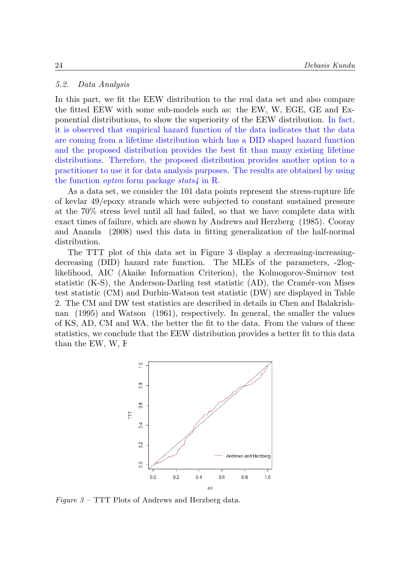# 5.2. Data Analysis

In this part, we fit the EEW distribution to the real data set and also compare the fitted EEW with some sub-models such as: the EW, W, EGE, GE and Exponential distributions, to show the superiority of the EEW distribution. In fact, it is observed that empirical hazard function of the data indicates that the data are coming from a lifetime distribution which has a DID shaped hazard function and the proposed distribution provides the best fit than many existing lifetime distributions. Therefore, the proposed distribution provides another option to a practitioner to use it for data analysis purposes. The results are obtained by using the function *optim* form package  $stats4$  in R.

As a data set, we consider the 101 data points represent the stress-rupture life of kevlar 49/epoxy strands which were subjected to constant sustained pressure at the 70% stress level until all had failed, so that we have complete data with exact times of failure, which are shown by Andrews and Herzberg (1985). Cooray and Ananda (2008) used this data in fitting generalization of the half-normal distribution.

The TTT plot of this data set in Figure 3 display a decreasing-increasingdecreasing (DID) hazard rate function. The MLEs of the parameters, -2loglikelihood, AIC (Akaike Information Criterion), the Kolmogorov-Smirnov test statistic  $(K-S)$ , the Anderson-Darling test statistic  $(AD)$ , the Cramér-von Mises test statistic (CM) and Durbin-Watson test statistic (DW) are displayed in Table 2. The CM and DW test statistics are described in details in Chen and Balakrishnan (1995) and Watson (1961), respectively. In general, the smaller the values of KS, AD, CM and WA, the better the fit to the data. From the values of these statistics, we conclude that the EEW distribution provides a better fit to this data than the EW,  $W$ , E



Figure  $3$  – TTT Plots of Andrews and Herzberg data.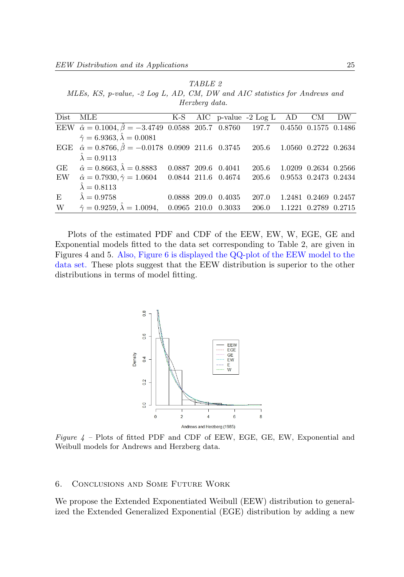TABLE 2 MLEs, KS, p-value, -2 Log L, AD, CM, DW and AIC statistics for Andrews and Herzberg data.

| Dist | MLE                                                                                                      |  |                     | K-S AIC p-value -2 Log L AD CM |                      | DW |
|------|----------------------------------------------------------------------------------------------------------|--|---------------------|--------------------------------|----------------------|----|
|      | EEW $\hat{\alpha} = 0.1004, \hat{\beta} = -3.4749, 0.0588, 205.7, 0.8760, 197.7, 0.4550, 0.1575, 0.1486$ |  |                     |                                |                      |    |
|      | $\hat{\gamma} = 6.9363, \hat{\lambda} = 0.0081$                                                          |  |                     |                                |                      |    |
|      | EGE $\hat{\alpha} = 0.8766$ , $\hat{\beta} = -0.0178$ 0.0909 211.6 0.3745 205.6                          |  |                     |                                | 1.0560 0.2722 0.2634 |    |
|      | $\hat{\lambda} = 0.9113$                                                                                 |  |                     |                                |                      |    |
|      | GE $\hat{\alpha} = 0.8663, \hat{\lambda} = 0.8883$                                                       |  | 0.0887 209.6 0.4041 | 205.6                          | 1.0209 0.2634 0.2566 |    |
|      | EW $\hat{\alpha} = 0.7930, \hat{\gamma} = 1.0604$ 0.0844 211.6 0.4674                                    |  |                     | 205.6                          | 0.9553 0.2473 0.2434 |    |
|      | $\hat{\lambda} = 0.8113$                                                                                 |  |                     |                                |                      |    |
| E    | $\hat{\lambda} = 0.9758$                                                                                 |  | 0.0888 209.0 0.4035 | 207.0                          | 1.2481 0.2469 0.2457 |    |
| W    | $\hat{\gamma} = 0.9259, \hat{\lambda} = 1.0094, \quad 0.0965 \quad 210.0 \quad 0.3033$                   |  |                     | 206.0                          | 1.1221 0.2789 0.2715 |    |
|      |                                                                                                          |  |                     |                                |                      |    |

Plots of the estimated PDF and CDF of the EEW, EW, W, EGE, GE and Exponential models fitted to the data set corresponding to Table 2, are given in Figures 4 and 5. Also, Figure 6 is displayed the QQ-plot of the EEW model to the data set. These plots suggest that the EEW distribution is superior to the other distributions in terms of model fitting.



Figure  $4$  – Plots of fitted PDF and CDF of EEW, EGE, GE, EW, Exponential and Weibull models for Andrews and Herzberg data.

#### 6. Conclusions and Some Future Work

We propose the Extended Exponentiated Weibull (EEW) distribution to generalized the Extended Generalized Exponential (EGE) distribution by adding a new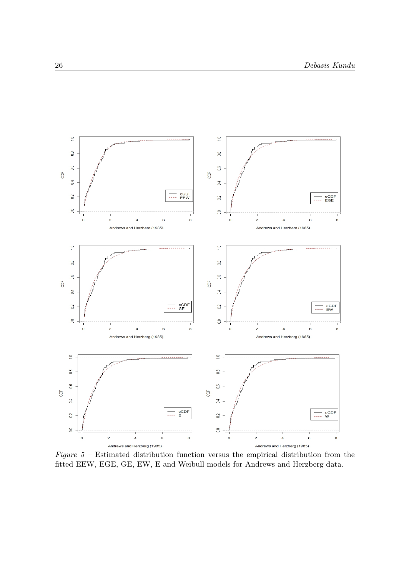

Figure 5 – Estimated distribution function versus the empirical distribution from the fitted EEW, EGE, GE, EW, E and Weibull models for Andrews and Herzberg data.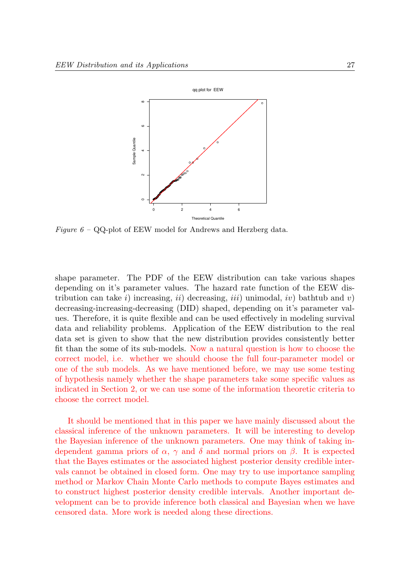

Figure  $6 - \text{QQ-plot of EEW model}$  for Andrews and Herzberg data.

shape parameter. The PDF of the EEW distribution can take various shapes depending on it's parameter values. The hazard rate function of the EEW distribution can take i) increasing, ii) decreasing, iii) unimodal, iv) bathtub and v) decreasing-increasing-decreasing (DID) shaped, depending on it's parameter values. Therefore, it is quite flexible and can be used effectively in modeling survival data and reliability problems. Application of the EEW distribution to the real data set is given to show that the new distribution provides consistently better fit than the some of its sub-models. Now a natural question is how to choose the correct model, i.e. whether we should choose the full four-parameter model or one of the sub models. As we have mentioned before, we may use some testing of hypothesis namely whether the shape parameters take some specific values as indicated in Section 2, or we can use some of the information theoretic criteria to choose the correct model.

It should be mentioned that in this paper we have mainly discussed about the classical inference of the unknown parameters. It will be interesting to develop the Bayesian inference of the unknown parameters. One may think of taking independent gamma priors of  $\alpha$ ,  $\gamma$  and  $\delta$  and normal priors on  $\beta$ . It is expected that the Bayes estimates or the associated highest posterior density credible intervals cannot be obtained in closed form. One may try to use importance sampling method or Markov Chain Monte Carlo methods to compute Bayes estimates and to construct highest posterior density credible intervals. Another important development can be to provide inference both classical and Bayesian when we have censored data. More work is needed along these directions.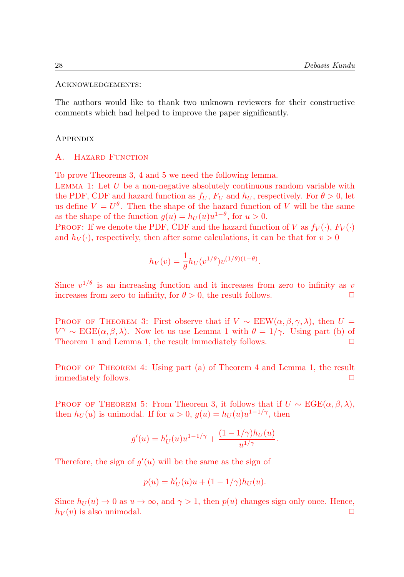#### Acknowledgements:

The authors would like to thank two unknown reviewers for their constructive comments which had helped to improve the paper significantly.

#### Appendix

# A. HAZARD FUNCTION

To prove Theorems 3, 4 and 5 we need the following lemma.

LEMMA 1: Let  $U$  be a non-negative absolutely continuous random variable with the PDF, CDF and hazard function as  $f_U$ ,  $F_U$  and  $h_U$ , respectively. For  $\theta > 0$ , let us define  $V = U^{\theta}$ . Then the shape of the hazard function of V will be the same as the shape of the function  $g(u) = h_U(u)u^{1-\theta}$ , for  $u > 0$ .

**PROOF:** If we denote the PDF, CDF and the hazard function of V as  $f_V(\cdot)$ ,  $F_V(\cdot)$ and  $h_V(\cdot)$ , respectively, then after some calculations, it can be that for  $v > 0$ 

$$
h_V(v) = \frac{1}{\theta} h_U(v^{1/\theta}) v^{(1/\theta)(1-\theta)}.
$$

Since  $v^{1/\theta}$  is an increasing function and it increases from zero to infinity as v increases from zero to infinity, for  $\theta > 0$ , the result follows.

PROOF OF THEOREM 3: First observe that if  $V \sim \text{EEW}(\alpha, \beta, \gamma, \lambda)$ , then  $U =$  $V^{\gamma} \sim \text{EGE}(\alpha, \beta, \lambda)$ . Now let us use Lemma 1 with  $\theta = 1/\gamma$ . Using part (b) of Theorem 1 and Lemma 1, the result immediately follows.  $\Box$ 

PROOF OF THEOREM 4: Using part (a) of Theorem 4 and Lemma 1, the result immediately follows.  $\Box$ 

PROOF OF THEOREM 5: From Theorem 3, it follows that if  $U \sim \text{EGE}(\alpha, \beta, \lambda)$ , then  $h_U(u)$  is unimodal. If for  $u > 0$ ,  $g(u) = h_U(u)u^{1-1/\gamma}$ , then

$$
g'(u) = h'_U(u)u^{1-1/\gamma} + \frac{(1 - 1/\gamma)h_U(u)}{u^{1/\gamma}}.
$$

Therefore, the sign of  $g'(u)$  will be the same as the sign of

$$
p(u) = h'_U(u)u + (1 - 1/\gamma)h_U(u).
$$

Since  $h_U(u) \to 0$  as  $u \to \infty$ , and  $\gamma > 1$ , then  $p(u)$  changes sign only once. Hence,  $h_V(v)$  is also unimodal.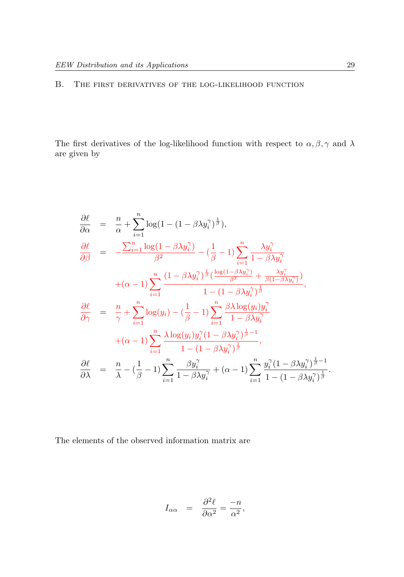# B. The first derivatives of the log-likelihood function

The first derivatives of the log-likelihood function with respect to  $\alpha, \beta, \gamma$  and  $\lambda$ are given by

$$
\frac{\partial \ell}{\partial \alpha} = \frac{n}{\alpha} + \sum_{i=1}^{n} \log(1 - (1 - \beta \lambda y_i^{\gamma})^{\frac{1}{\beta}}),
$$
\n
$$
\frac{\partial \ell}{\partial \beta} = -\frac{\sum_{i=1}^{n} \log(1 - \beta \lambda y_i^{\gamma})}{\beta^2} - (\frac{1}{\beta} - 1) \sum_{i=1}^{n} \frac{\lambda y_i^{\gamma}}{1 - \beta \lambda y_i^{\gamma}}
$$
\n
$$
+ (\alpha - 1) \sum_{i=1}^{n} \frac{(1 - \beta \lambda y_i^{\gamma})^{\frac{1}{\beta}} (\frac{\log(1 - \beta \lambda y_i^{\gamma})}{\beta^2} + \frac{\lambda y_i^{\gamma}}{\beta(1 - \beta \lambda y_i^{\gamma})})}{1 - (1 - \beta \lambda y_i^{\gamma})^{\frac{1}{\beta}}},
$$
\n
$$
\frac{\partial \ell}{\partial \gamma} = \frac{n}{\gamma} + \sum_{i=1}^{n} \log(y_i) - (\frac{1}{\beta} - 1) \sum_{i=1}^{n} \frac{\beta \lambda \log(y_i) y_i^{\gamma}}{1 - \beta \lambda y_i^{\gamma}}}{1 - (\beta \lambda y_i^{\gamma})^{\frac{1}{\beta}}},
$$
\n
$$
\frac{\partial \ell}{\partial \lambda} = \frac{n}{\lambda} - (\frac{1}{\beta} - 1) \sum_{i=1}^{n} \frac{\beta y_i^{\gamma}}{1 - \beta \lambda y_i^{\gamma}} + (\alpha - 1) \sum_{i=1}^{n} \frac{y_i^{\gamma} (1 - \beta \lambda y_i^{\gamma})^{\frac{1}{\beta} - 1}}{1 - (1 - \beta \lambda y_i^{\gamma})^{\frac{1}{\beta}}}
$$

The elements of the observed information matrix are

$$
I_{\alpha\alpha} = \frac{\partial^2 \ell}{\partial \alpha^2} = \frac{-n}{\alpha^2},
$$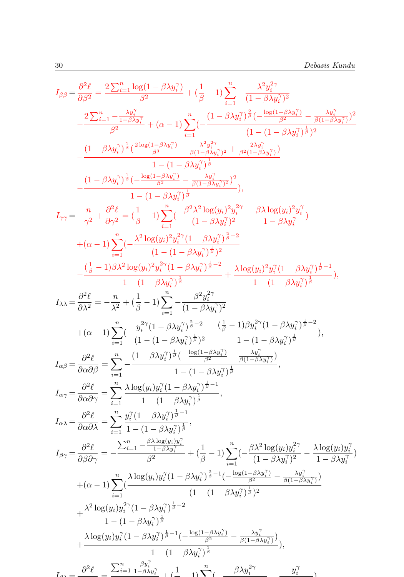$$
I_{\beta\beta} = \frac{\partial^2 \ell}{\partial \beta^2} = \frac{2\sum_{i=1}^n \log(1-\beta \lambda y_i^2)}{\beta^2} + (\frac{1}{\beta}-1) \sum_{i=1}^n -\frac{\lambda^2 y_i^{2\gamma}}{(1-\beta \lambda y_i^2)^2}
$$
  

$$
-\frac{2\sum_{i=1}^n -\frac{\lambda y_i^2}{1-\beta \lambda y_i^2}}{\beta^2} + (\alpha-1) \sum_{i=1}^n (-\frac{(1-\beta \lambda y_i^2)^{\frac{1}{\beta}}(-\frac{\log(1-\beta \lambda y_i^2)}{\beta^2} - \frac{\lambda y_i^2}{\beta(1-\beta \lambda y_i^2)})^2}{(1-(1-\beta \lambda y_i^2)^{\frac{1}{\beta}}})^2
$$
  

$$
-\frac{(1-\beta \lambda y_i^2)^{\frac{1}{\beta}}(\frac{2\log(1-\beta \lambda y_i^2)}{\beta^2} - \frac{\lambda^2 y_i^{2\gamma}}{\beta^2(1-\beta \lambda y_i^2)^2} + \frac{2\lambda y_i^2}{\beta^2(1-\beta \lambda y_i^2)})}{1-(1-\beta \lambda y_i^2)^{\frac{1}{\beta}}}
$$
  

$$
-\frac{(1-\beta \lambda y_i^2)^{\frac{1}{\beta}}(-\frac{\log(1-\beta \lambda y_i^2)}{\beta^2} - \frac{\lambda y_i^2}{\beta(1-\beta \lambda y_i^2)^2})}{1-(1-\beta \lambda y_i^2)^{\frac{1}{\beta}}},
$$
  

$$
I_{\gamma\gamma} = -\frac{n}{\gamma^2} + \frac{\partial^2 \ell}{\partial \gamma^2} = (\frac{1}{\beta}-1) \sum_{i=1}^n (-\frac{\beta^2 \lambda^2 \log(y_i)^2 y_i^2}{(1-\beta \lambda y_i^2)^{\frac{1}{\beta}}}- \frac{\beta \lambda \log(y_i)^2 y_i^2}{1-\beta \lambda y_i^2})
$$
  

$$
+ (\alpha-1) \sum_{i=1}^n (-\frac{\lambda^2 \log(y_i)^2 y_i^2}{(1-(1-\beta \lambda y_i^2)^{\frac{1}{\beta}}}- \frac{\lambda \log(y_i)^2 y_i^2}{1-\beta \lambda y_i^2})^{\frac{1}{\beta}} - 1
$$
  

$$
I_{\lambda\lambda} = \frac{\partial^2 \ell}{\partial \lambda^2}
$$

−

1 − βλy<sup>γ</sup>

 $\frac{\circ}{\circ}$  =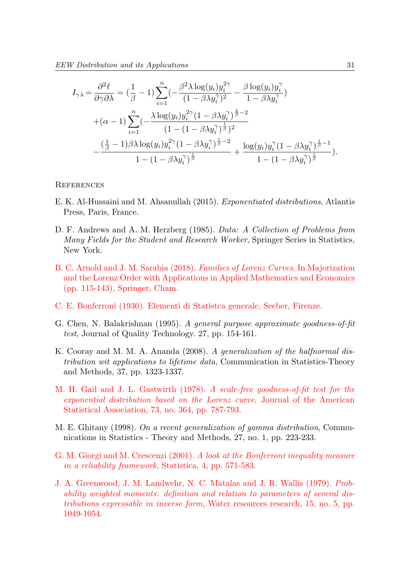$$
I_{\gamma\lambda} = \frac{\partial^2 \ell}{\partial \gamma \partial \lambda} = \left(\frac{1}{\beta} - 1\right) \sum_{i=1}^n \left(-\frac{\beta^2 \lambda \log(y_i) y_i^{2\gamma}}{(1 - \beta \lambda y_i^{\gamma})^2} - \frac{\beta \log(y_i) y_i^{\gamma}}{1 - \beta \lambda y_i^{\gamma}}\right)
$$
  
+
$$
(\alpha - 1) \sum_{i=1}^n \left(-\frac{\lambda \log(y_i) y_i^{2\gamma} (1 - \beta \lambda y_i^{\gamma})^{\frac{2}{\beta} - 2}}{(1 - (1 - \beta \lambda y_i^{\gamma})^{\frac{1}{\beta}})^2} - \frac{\left(\frac{1}{\beta} - 1\right) \beta \lambda \log(y_i) y_i^{2\gamma} (1 - \beta \lambda y_i^{\gamma})^{\frac{1}{\beta} - 2}}{1 - (1 - \beta \lambda y_i^{\gamma})^{\frac{1}{\beta}}} + \frac{\log(y_i) y_i^{\gamma} (1 - \beta \lambda y_i^{\gamma})^{\frac{1}{\beta} - 1}}{1 - (1 - \beta \lambda y_i^{\gamma})^{\frac{1}{\beta}}}).
$$

#### **REFERENCES**

- E. K. Al-Hussaini and M. Ahsanullah (2015). Exponentiated distributions, Atlantis Press, Paris, France.
- D. F. Andrews and A. M. Herzberg (1985). Data: A Collection of Problems from Many Fields for the Student and Research Worker, Springer Series in Statistics, New York.
- B. C. Arnold and J. M. Sarabia (2018). Families of Lorenz Curves, In Majorization and the Lorenz Order with Applications in Applied Mathematics and Economics (pp. 115-143), Springer, Cham.
- C. E. Bonferroni (1930). Elementi di Statistca generale, Seeber, Firenze.
- G. Chen, N. Balakrishnan (1995). A general purpose approximate goodness-of-fit test, Journal of Quality Technology. 27, pp. 154-161.
- K. Cooray and M. M. A. Ananda (2008). A generalization of the halfnormal distribution wit applications to lifetime data, Communication in Statistics-Theory and Methods, 37, pp. 1323-1337.
- M. H. Gail and J. L. Gastwirth (1978). A scale-free goodness-of-fit test for the exponential distribution based on the Lorenz curve, Journal of the American Statistical Association, 73, no. 364, pp. 787-793.
- M. E. Ghitany (1998). On a recent generalization of gamma distribution, Communications in Statistics - Theory and Methods, 27, no. 1, pp. 223-233.
- G. M. Giorgi and M. Crescenzi (2001). A look at the Bonferroni inequality measure in a reliability framework, Statistica, 4, pp. 571-583.
- J. A. Greenwood, J. M. Landwehr, N. C. Matalas and J. R. Wallis (1979). Probability weighted moments: definition and relation to parameters of several distributions expressable in inverse form, Water resources research, 15, no. 5, pp. 1049-1054.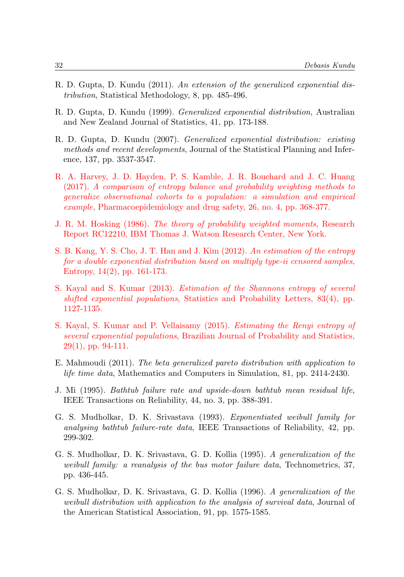- R. D. Gupta, D. Kundu (2011). An extension of the generalized exponential distribution, Statistical Methodology, 8, pp. 485-496.
- R. D. Gupta, D. Kundu (1999). Generalized exponential distribution, Australian and New Zealand Journal of Statistics, 41, pp. 173-188.
- R. D. Gupta, D. Kundu (2007). Generalized exponential distribution: existing methods and recent developments, Journal of the Statistical Planning and Inference, 137, pp. 3537-3547.
- R. A. Harvey, J. D. Hayden, P. S. Kamble, J. R. Bouchard and J. C. Huang (2017). A comparison of entropy balance and probability weighting methods to generalize observational cohorts to a population: a simulation and empirical example, Pharmacoepidemiology and drug safety, 26, no. 4, pp. 368-377.
- J. R. M. Hosking (1986). The theory of probability weighted moments, Research Report RC12210, IBM Thomas J. Watson Research Center, New York.
- S. B. Kang, Y. S. Cho, J. T. Han and J. Kim (2012). An estimation of the entropy for a double exponential distribution based on multiply type-ii censored samples, Entropy, 14(2), pp. 161-173.
- S. Kayal and S. Kumar (2013). Estimation of the Shannons entropy of several shifted exponential populations, Statistics and Probability Letters, 83(4), pp. 1127-1135.
- S. Kayal, S. Kumar and P. Vellaisamy (2015). Estimating the Renyi entropy of several exponential populations, Brazilian Journal of Probability and Statistics, 29(1), pp. 94-111.
- E. Mahmoudi (2011). The beta generalized pareto distribution with application to life time data, Mathematics and Computers in Simulation, 81, pp. 2414-2430.
- J. Mi (1995). Bathtub failure rate and upside-down bathtub mean residual life, IEEE Transactions on Reliability, 44, no. 3, pp. 388-391.
- G. S. Mudholkar, D. K. Srivastava (1993). Exponentiated weibull family for analysing bathtub failure-rate data, IEEE Transactions of Reliability, 42, pp. 299-302.
- G. S. Mudholkar, D. K. Srivastava, G. D. Kollia (1995). A generalization of the weibull family: a reanalysis of the bus motor failure data, Technometrics, 37, pp. 436-445.
- G. S. Mudholkar, D. K. Srivastava, G. D. Kollia (1996). A generalization of the weibull distribution with application to the analysis of survival data, Journal of the American Statistical Association, 91, pp. 1575-1585.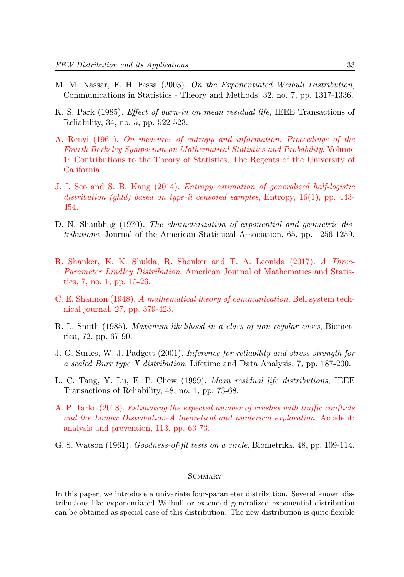- M. M. Nassar, F. H. Eissa (2003). On the Exponentiated Weibull Distribution, Communications in Statistics - Theory and Methods, 32, no. 7, pp. 1317-1336.
- K. S. Park (1985). Effect of burn-in on mean residual life, IEEE Transactions of Reliability, 34, no. 5, pp. 522-523.
- A. Renyi (1961). On measures of entropy and information, Proceedings of the Fourth Berkeley Symposium on Mathematical Statistics and Probability, Volume 1: Contributions to the Theory of Statistics, The Regents of the University of California.
- J. I. Seo and S. B. Kang (2014). Entropy estimation of generalized half-logistic distribution (ghld) based on type-ii censored samples, Entropy, 16(1), pp. 443-454.
- D. N. Shanbhag (1970). The characterization of exponential and geometric distributions, Journal of the American Statistical Association, 65, pp. 1256-1259.
- R. Shanker, K. K. Shukla, R. Shanker and T. A. Leonida (2017). A Three-Parameter Lindley Distribution, American Journal of Mathematics and Statistics, 7, no. 1, pp. 15-26.
- C. E. Shannon (1948). A mathematical theory of communication, Bell system technical journal, 27, pp. 379-423.
- R. L. Smith (1985). Maximum likelihood in a class of non-regular cases, Biometrica, 72, pp. 67-90.
- J. G. Surles, W. J. Padgett (2001). Inference for reliability and stress-strength for a scaled Burr type X distribution, Lifetime and Data Analysis, 7, pp. 187-200.
- L. C. Tang, Y. Lu, E. P. Chew (1999). Mean residual life distributions, IEEE Transactions of Reliability, 48, no. 1, pp. 73-68.
- A. P. Tarko (2018). Estimating the expected number of crashes with traffic conflicts and the Lomax Distribution-A theoretical and numerical exploration, Accident; analysis and prevention, 113, pp. 63-73.
- G. S. Watson (1961). Goodness-of-fit tests on a circle, Biometrika, 48, pp. 109-114.

# **SUMMARY**

In this paper, we introduce a univariate four-parameter distribution. Several known distributions like exponentiated Weibull or extended generalized exponential distribution can be obtained as special case of this distribution. The new distribution is quite flexible